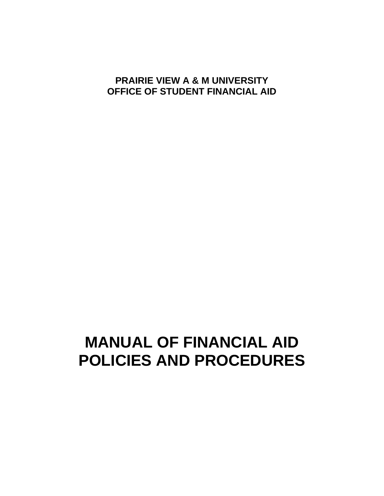## **PRAIRIE VIEW A & M UNIVERSITY OFFICE OF STUDENT FINANCIAL AID**

# **MANUAL OF FINANCIAL AID POLICIES AND PROCEDURES**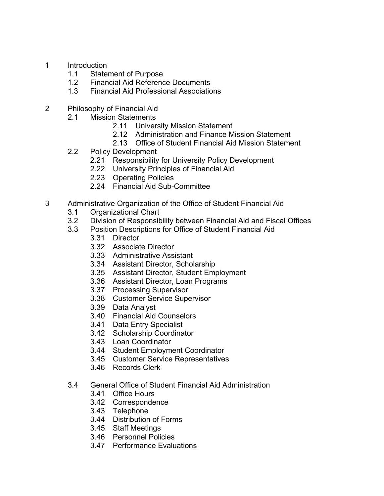- 1 Introduction
	- 1.1 Statement of Purpose
	- 1.2 Financial Aid Reference Documents
	- 1.3 Financial Aid Professional Associations
- 2 Philosophy of Financial Aid
	- 2.1 Mission Statements
		- 2.11 University Mission Statement
		- 2.12 Administration and Finance Mission Statement
		- 2.13 Office of Student Financial Aid Mission Statement
	- 2.2 Policy Development
		- 2.21 Responsibility for University Policy Development
		- 2.22 University Principles of Financial Aid
		- 2.23 Operating Policies
		- 2.24 Financial Aid Sub-Committee
- 3 Administrative Organization of the Office of Student Financial Aid
	- 3.1 Organizational Chart
	- 3.2 Division of Responsibility between Financial Aid and Fiscal Offices
	- 3.3 Position Descriptions for Office of Student Financial Aid
		- 3.31 Director
		- 3.32 Associate Director
		- 3.33 Administrative Assistant
		- 3.34 Assistant Director, Scholarship
		- 3.35 Assistant Director, Student Employment
		- 3.36 Assistant Director, Loan Programs
		- 3.37 Processing Supervisor
		- 3.38 Customer Service Supervisor
		- 3.39 Data Analyst
		- 3.40 Financial Aid Counselors
		- 3.41 Data Entry Specialist
		- 3.42 Scholarship Coordinator
		- 3.43 Loan Coordinator
		- 3.44 Student Employment Coordinator
		- 3.45 Customer Service Representatives
		- 3.46 Records Clerk
	- 3.4 General Office of Student Financial Aid Administration
		- 3.41 Office Hours
		- 3.42 Correspondence
		- 3.43 Telephone
		- 3.44 Distribution of Forms
		- 3.45 Staff Meetings
		- 3.46 Personnel Policies
		- 3.47 Performance Evaluations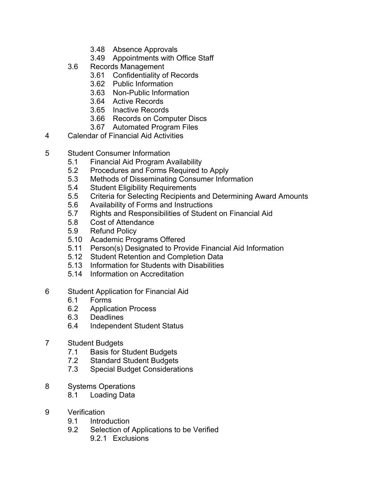- 3.48 Absence Approvals
- 3.49 Appointments with Office Staff
- 3.6 Records Management
	- 3.61 Confidentiality of Records
	- 3.62 Public Information
	- 3.63 Non-Public Information
	- 3.64 Active Records
	- 3.65 Inactive Records
	- 3.66 Records on Computer Discs
	- 3.67 Automated Program Files
- 4 Calendar of Financial Aid Activities
- 5 Student Consumer Information
	- 5.1 Financial Aid Program Availability
	- 5.2 Procedures and Forms Required to Apply
	- 5.3 Methods of Disseminating Consumer Information
	- 5.4 Student Eligibility Requirements
	- 5.5 Criteria for Selecting Recipients and Determining Award Amounts
	- 5.6 Availability of Forms and Instructions
	- 5.7 Rights and Responsibilities of Student on Financial Aid
	- 5.8 Cost of Attendance
	- 5.9 Refund Policy
	- 5.10 Academic Programs Offered
	- 5.11 Person(s) Designated to Provide Financial Aid Information
	- 5.12 Student Retention and Completion Data
	- 5.13 Information for Students with Disabilities
	- 5.14 Information on Accreditation
- 6 Student Application for Financial Aid
	- 6.1 Forms
	- 6.2 Application Process
	- 6.3 Deadlines
	- 6.4 Independent Student Status
- 7 Student Budgets
	- 7.1 Basis for Student Budgets
	- 7.2 Standard Student Budgets
	- 7.3 Special Budget Considerations
- 8 Systems Operations
	- 8.1 Loading Data
- 9 Verification
	- 9.1 Introduction
	- 9.2 Selection of Applications to be Verified
		- 9.2.1 Exclusions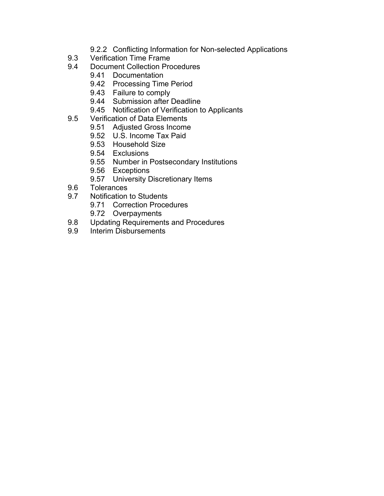- 9.2.2 Conflicting Information for Non-selected Applications
- 9.3 Verification Time Frame
- 9.4 Document Collection Procedures
	- 9.41 Documentation
	- 9.42 Processing Time Period
	- 9.43 Failure to comply
	- 9.44 Submission after Deadline
	- 9.45 Notification of Verification to Applicants
- 9.5 Verification of Data Elements
	- 9.51 Adjusted Gross Income
	- 9.52 U.S. Income Tax Paid
	- 9.53 Household Size
	- 9.54 Exclusions
	- 9.55 Number in Postsecondary Institutions
	- 9.56 Exceptions
	- 9.57 University Discretionary Items
- 9.6 Tolerances
- 9.7 Notification to Students
	- 9.71 Correction Procedures
	- 9.72 Overpayments
- 9.8 Updating Requirements and Procedures
- 9.9 Interim Disbursements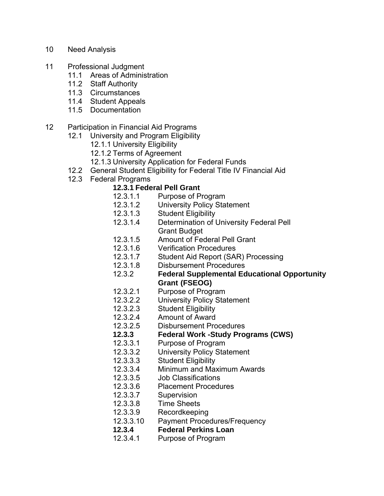- 10 Need Analysis
- 11 Professional Judgment
	- 11.1 Areas of Administration
	- 11.2 Staff Authority
	- 11.3 Circumstances
	- 11.4 Student Appeals
	- 11.5 Documentation
- 12 Participation in Financial Aid Programs
	- 12.1 University and Program Eligibility
		- 12.1.1 University Eligibility
		- 12.1.2 Terms of Agreement
		- 12.1.3 University Application for Federal Funds
	- 12.2 General Student Eligibility for Federal Title IV Financial Aid
	- 12.3 Federal Programs

## **12.3.1 Federal Pell Grant**

- 12.3.1.1 Purpose of Program
- 12.3.1.2 University Policy Statement
- 12.3.1.3 Student Eligibility
- 12.3.1.4 Determination of University Federal Pell Grant Budget
- 12.3.1.5 Amount of Federal Pell Grant
- 12.3.1.6 Verification Procedures
- 12.3.1.7 Student Aid Report (SAR) Processing
- 12.3.1.8 Disbursement Procedures
- 12.3.2 **Federal Supplemental Educational Opportunity Grant (FSEOG)**
- 12.3.2.1 Purpose of Program
- 12.3.2.2 University Policy Statement
- 12.3.2.3 Student Eligibility
- 12.3.2.4 Amount of Award
- 12.3.2.5 Disbursement Procedures
- **12.3.3 Federal Work -Study Programs (CWS)**
- 12.3.3.1 Purpose of Program
- 12.3.3.2 University Policy Statement
- 12.3.3.3 Student Eligibility
- 12.3.3.4 Minimum and Maximum Awards
- 12.3.3.5 Job Classifications
- 12.3.3.6 Placement Procedures
- 12.3.3.7 Supervision
- 12.3.3.8 Time Sheets
- 12.3.3.9 Recordkeeping
- 12.3.3.10 Payment Procedures/Frequency
- **12.3.4 Federal Perkins Loan**
- 12.3.4.1 Purpose of Program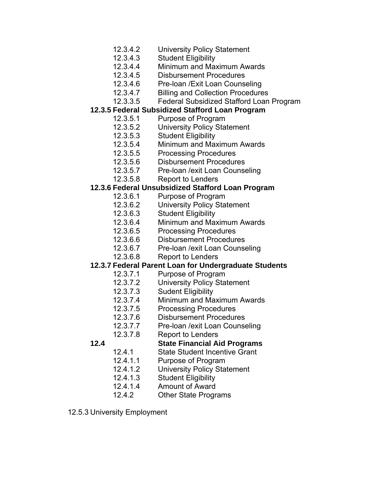- 12.3.4.2 University Policy Statement
- 12.3.4.3 Student Eligibility
- 12.3.4.4 Minimum and Maximum Awards
- 12.3.4.5 Disbursement Procedures
- 12.3.4.6 Pre-loan /Exit Loan Counseling
- 12.3.4.7 Billing and Collection Procedures
- 12.3.3.5 Federal Subsidized Stafford Loan Program

## **12.3.5 Federal Subsidized Stafford Loan Program**

- 12.3.5.1 Purpose of Program
- 12.3.5.2 University Policy Statement
- 12.3.5.3 Student Eligibility
- 12.3.5.4 Minimum and Maximum Awards
- 12.3.5.5 Processing Procedures
- 12.3.5.6 Disbursement Procedures
- 12.3.5.7 Pre-loan /exit Loan Counseling
- 12.3.5.8 Report to Lenders

## **12.3.6 Federal Unsubsidized Stafford Loan Program**

- 12.3.6.1 Purpose of Program
- 12.3.6.2 University Policy Statement
- 12.3.6.3 Student Eligibility
- 12.3.6.4 Minimum and Maximum Awards
- 12.3.6.5 Processing Procedures
- 12.3.6.6 Disbursement Procedures
- 12.3.6.7 Pre-loan /exit Loan Counseling
- 12.3.6.8 Report to Lenders

## **12.3.7 Federal Parent Loan for Undergraduate Students**

- 12.3.7.1 Purpose of Program
- 12.3.7.2 University Policy Statement
- 12.3.7.3 Sudent Eligibility
- 12.3.7.4 Minimum and Maximum Awards
- 12.3.7.5 Processing Procedures
- 12.3.7.6 Disbursement Procedures
- 12.3.7.7 Pre-loan /exit Loan Counseling
- 12.3.7.8 Report to Lenders
- 
- **12.4 State Financial Aid Programs** 
	- 12.4.1 State Student Incentive Grant
	- 12.4.1.1 Purpose of Program
	- 12.4.1.2 University Policy Statement
	- 12.4.1.3 Student Eligibility
	- 12.4.1.4 Amount of Award
	- 12.4.2 Other State Programs
- 12.5.3 University Employment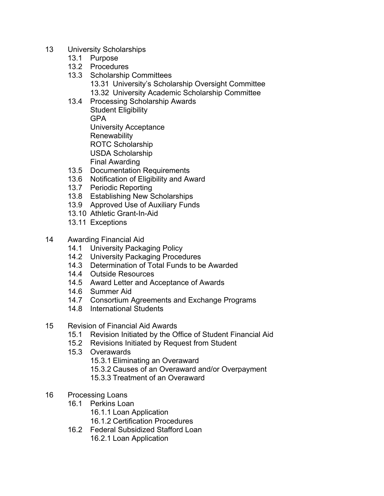- 13 University Scholarships
	- 13.1 Purpose
	- 13.2 Procedures
	- 13.3 Scholarship Committees
		- 13.31 University's Scholarship Oversight Committee
		- 13.32 University Academic Scholarship Committee
	- 13.4 Processing Scholarship Awards Student Eligibility GPA University Acceptance **Renewability** ROTC Scholarship USDA Scholarship Final Awarding
	- 13.5 Documentation Requirements
	- 13.6 Notification of Eligibility and Award
	- 13.7 Periodic Reporting
	- 13.8 Establishing New Scholarships
	- 13.9 Approved Use of Auxiliary Funds
	- 13.10 Athletic Grant-In-Aid
	- 13.11 Exceptions
- 14 Awarding Financial Aid
	- 14.1 University Packaging Policy
	- 14.2 University Packaging Procedures
	- 14.3 Determination of Total Funds to be Awarded
	- 14.4 Outside Resources
	- 14.5 Award Letter and Acceptance of Awards
	- 14.6 Summer Aid
	- 14.7 Consortium Agreements and Exchange Programs
	- 14.8 International Students
- 15 Revision of Financial Aid Awards
	- 15.1 Revision Initiated by the Office of Student Financial Aid
	- 15.2 Revisions Initiated by Request from Student
	- 15.3 Overawards
		- 15.3.1 Eliminating an Overaward
		- 15.3.2 Causes of an Overaward and/or Overpayment
		- 15.3.3 Treatment of an Overaward
- 16 Processing Loans
	- 16.1 Perkins Loan
		- 16.1.1 Loan Application
		- 16.1.2 Certification Procedures
	- 16.2 Federal Subsidized Stafford Loan
		- 16.2.1 Loan Application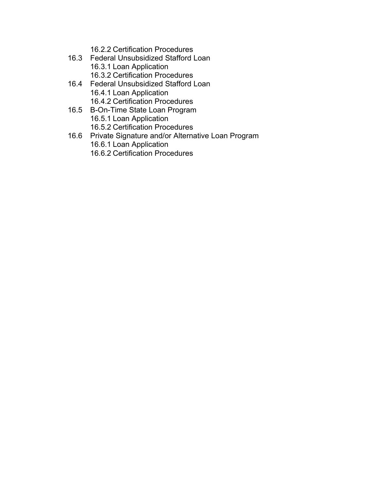- 16.2.2 Certification Procedures
- 16.3 Federal Unsubsidized Stafford Loan 16.3.1 Loan Application 16.3.2 Certification Procedures
- 16.4 Federal Unsubsidized Stafford Loan 16.4.1 Loan Application 16.4.2 Certification Procedures
- 16.5 B-On-Time State Loan Program 16.5.1 Loan Application 16.5.2 Certification Procedures
- 16.6 Private Signature and/or Alternative Loan Program 16.6.1 Loan Application 16.6.2 Certification Procedures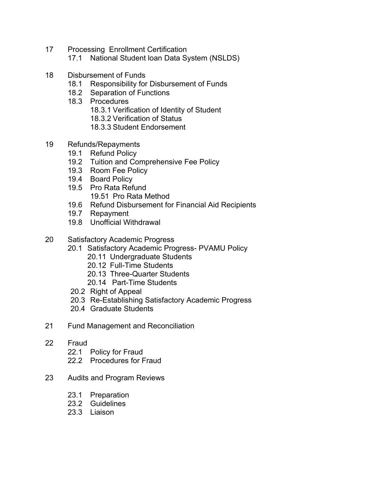- 17 Processing Enrollment Certification
	- 17.1 National Student loan Data System (NSLDS)
- 18 Disbursement of Funds
	- 18.1 Responsibility for Disbursement of Funds
	- 18.2 Separation of Functions
	- 18.3 Procedures
		- 18.3.1 Verification of Identity of Student
		- 18.3.2 Verification of Status
		- 18.3.3 Student Endorsement
- 19 Refunds/Repayments
	- 19.1 Refund Policy
	- 19.2 Tuition and Comprehensive Fee Policy
	- 19.3 Room Fee Policy
	- 19.4 Board Policy
	- 19.5 Pro Rata Refund 19.51 Pro Rata Method
	- 19.6 Refund Disbursement for Financial Aid Recipients
	- 19.7 Repayment
	- 19.8 Unofficial Withdrawal
- 20 Satisfactory Academic Progress
	- 20.1 Satisfactory Academic Progress- PVAMU Policy
		- 20.11 Undergraduate Students
		- 20.12 Full-Time Students
		- 20.13 Three-Quarter Students
		- 20.14 Part-Time Students
	- 20.2 Right of Appeal
	- 20.3 Re-Establishing Satisfactory Academic Progress
	- 20.4 Graduate Students
- 21 Fund Management and Reconciliation
- 22 Fraud
	- 22.1 Policy for Fraud
	- 22.2 Procedures for Fraud
- 23 Audits and Program Reviews
	- 23.1 Preparation
	- 23.2 Guidelines
	- 23.3 Liaison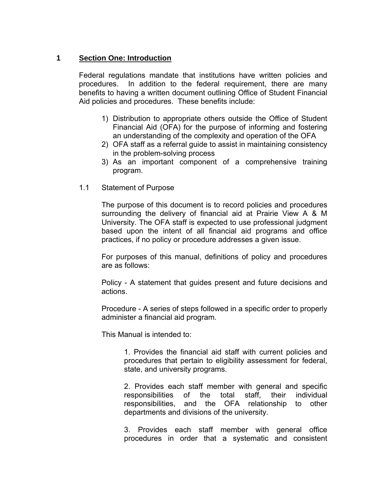## **1 Section One: Introduction**

Federal regulations mandate that institutions have written policies and procedures. In addition to the federal requirement, there are many benefits to having a written document outlining Office of Student Financial Aid policies and procedures. These benefits include:

- 1) Distribution to appropriate others outside the Office of Student Financial Aid (OFA) for the purpose of informing and fostering an understanding of the complexity and operation of the OFA
- 2) OFA staff as a referral guide to assist in maintaining consistency in the problem-solving process
- 3) As an important component of a comprehensive training program.
- 1.1 Statement of Purpose

The purpose of this document is to record policies and procedures surrounding the delivery of financial aid at Prairie View A & M University. The OFA staff is expected to use professional judgment based upon the intent of all financial aid programs and office practices, if no policy or procedure addresses a given issue.

For purposes of this manual, definitions of policy and procedures are as follows:

Policy - A statement that guides present and future decisions and actions.

Procedure - A series of steps followed in a specific order to properly administer a financial aid program.

This Manual is intended to:

1. Provides the financial aid staff with current policies and procedures that pertain to eligibility assessment for federal, state, and university programs.

2. Provides each staff member with general and specific responsibilities of the total staff, their individual responsibilities, and the OFA relationship to other departments and divisions of the university.

3. Provides each staff member with general office procedures in order that a systematic and consistent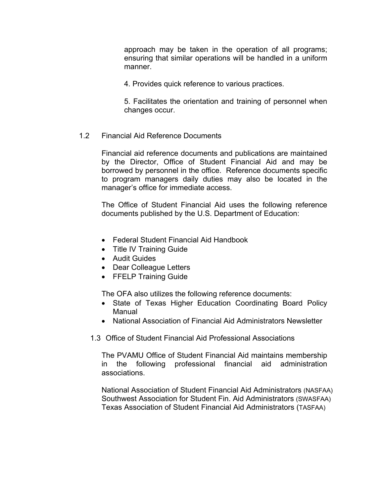approach may be taken in the operation of all programs; ensuring that similar operations will be handled in a uniform manner.

4. Provides quick reference to various practices.

5. Facilitates the orientation and training of personnel when changes occur.

## 1.2 Financial Aid Reference Documents

Financial aid reference documents and publications are maintained by the Director, Office of Student Financial Aid and may be borrowed by personnel in the office. Reference documents specific to program managers daily duties may also be located in the manager's office for immediate access.

The Office of Student Financial Aid uses the following reference documents published by the U.S. Department of Education:

- Federal Student Financial Aid Handbook
- Title IV Training Guide
- Audit Guides
- Dear Colleague Letters
- FFELP Training Guide

The OFA also utilizes the following reference documents:

- State of Texas Higher Education Coordinating Board Policy Manual
- National Association of Financial Aid Administrators Newsletter
- 1.3 Office of Student Financial Aid Professional Associations

The PVAMU Office of Student Financial Aid maintains membership in the following professional financial aid administration associations.

National Association of Student Financial Aid Administrators (NASFAA) Southwest Association for Student Fin. Aid Administrators (SWASFAA) Texas Association of Student Financial Aid Administrators (TASFAA)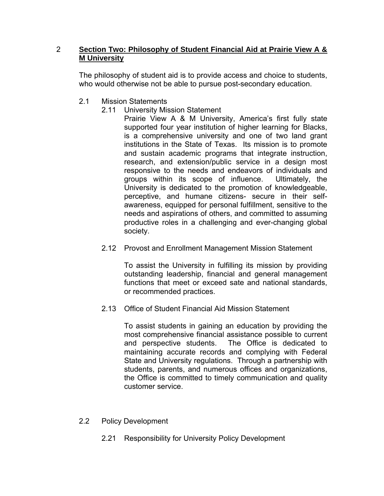## 2 **Section Two: Philosophy of Student Financial Aid at Prairie View A & M University**

The philosophy of student aid is to provide access and choice to students, who would otherwise not be able to pursue post-secondary education.

- 2.1 Mission Statements
	- 2.11 University Mission Statement
		- Prairie View A & M University, America's first fully state supported four year institution of higher learning for Blacks, is a comprehensive university and one of two land grant institutions in the State of Texas. Its mission is to promote and sustain academic programs that integrate instruction, research, and extension/public service in a design most responsive to the needs and endeavors of individuals and groups within its scope of influence. Ultimately, the University is dedicated to the promotion of knowledgeable, perceptive, and humane citizens- secure in their selfawareness, equipped for personal fulfillment, sensitive to the needs and aspirations of others, and committed to assuming productive roles in a challenging and ever-changing global society.
	- 2.12 Provost and Enrollment Management Mission Statement

To assist the University in fulfilling its mission by providing outstanding leadership, financial and general management functions that meet or exceed sate and national standards, or recommended practices.

2.13 Office of Student Financial Aid Mission Statement

To assist students in gaining an education by providing the most comprehensive financial assistance possible to current and perspective students. The Office is dedicated to maintaining accurate records and complying with Federal State and University regulations. Through a partnership with students, parents, and numerous offices and organizations, the Office is committed to timely communication and quality customer service.

- 2.2 Policy Development
	- 2.21 Responsibility for University Policy Development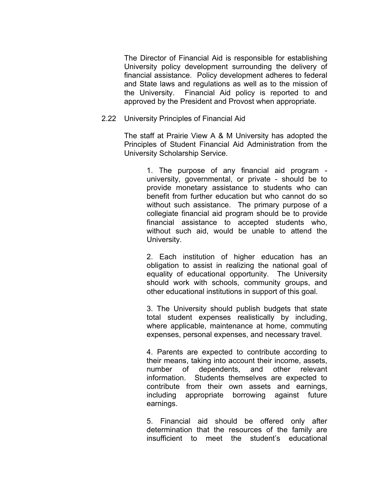The Director of Financial Aid is responsible for establishing University policy development surrounding the delivery of financial assistance. Policy development adheres to federal and State laws and regulations as well as to the mission of the University. Financial Aid policy is reported to and approved by the President and Provost when appropriate.

#### 2.22 University Principles of Financial Aid

The staff at Prairie View A & M University has adopted the Principles of Student Financial Aid Administration from the University Scholarship Service.

> 1. The purpose of any financial aid program university, governmental, or private - should be to provide monetary assistance to students who can benefit from further education but who cannot do so without such assistance. The primary purpose of a collegiate financial aid program should be to provide financial assistance to accepted students who, without such aid, would be unable to attend the University.

> 2. Each institution of higher education has an obligation to assist in realizing the national goal of equality of educational opportunity. The University should work with schools, community groups, and other educational institutions in support of this goal.

> 3. The University should publish budgets that state total student expenses realistically by including, where applicable, maintenance at home, commuting expenses, personal expenses, and necessary travel.

> 4. Parents are expected to contribute according to their means, taking into account their income, assets, number of dependents, and other relevant information. Students themselves are expected to contribute from their own assets and earnings, including appropriate borrowing against future earnings.

> 5. Financial aid should be offered only after determination that the resources of the family are insufficient to meet the student's educational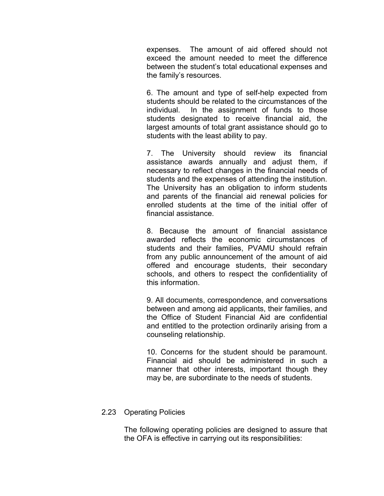expenses. The amount of aid offered should not exceed the amount needed to meet the difference between the student's total educational expenses and the family's resources.

6. The amount and type of self-help expected from students should be related to the circumstances of the individual. In the assignment of funds to those students designated to receive financial aid, the largest amounts of total grant assistance should go to students with the least ability to pay.

7. The University should review its financial assistance awards annually and adjust them, if necessary to reflect changes in the financial needs of students and the expenses of attending the institution. The University has an obligation to inform students and parents of the financial aid renewal policies for enrolled students at the time of the initial offer of financial assistance.

8. Because the amount of financial assistance awarded reflects the economic circumstances of students and their families, PVAMU should refrain from any public announcement of the amount of aid offered and encourage students, their secondary schools, and others to respect the confidentiality of this information.

9. All documents, correspondence, and conversations between and among aid applicants, their families, and the Office of Student Financial Aid are confidential and entitled to the protection ordinarily arising from a counseling relationship.

10. Concerns for the student should be paramount. Financial aid should be administered in such a manner that other interests, important though they may be, are subordinate to the needs of students.

## 2.23 Operating Policies

The following operating policies are designed to assure that the OFA is effective in carrying out its responsibilities: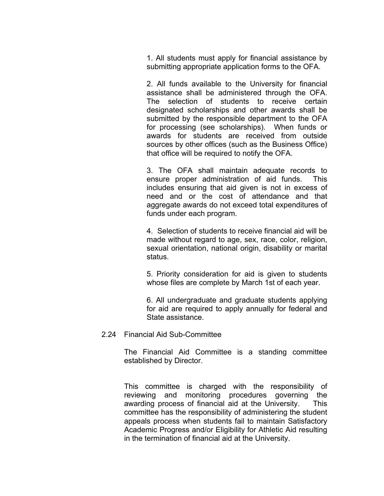1. All students must apply for financial assistance by submitting appropriate application forms to the OFA.

2. All funds available to the University for financial assistance shall be administered through the OFA. The selection of students to receive certain designated scholarships and other awards shall be submitted by the responsible department to the OFA for processing (see scholarships). When funds or awards for students are received from outside sources by other offices (such as the Business Office) that office will be required to notify the OFA.

3. The OFA shall maintain adequate records to ensure proper administration of aid funds. This includes ensuring that aid given is not in excess of need and or the cost of attendance and that aggregate awards do not exceed total expenditures of funds under each program.

4. Selection of students to receive financial aid will be made without regard to age, sex, race, color, religion, sexual orientation, national origin, disability or marital status.

5. Priority consideration for aid is given to students whose files are complete by March 1st of each year.

6. All undergraduate and graduate students applying for aid are required to apply annually for federal and State assistance.

#### 2.24 Financial Aid Sub-Committee

The Financial Aid Committee is a standing committee established by Director.

This committee is charged with the responsibility of reviewing and monitoring procedures governing the awarding process of financial aid at the University. This committee has the responsibility of administering the student appeals process when students fail to maintain Satisfactory Academic Progress and/or Eligibility for Athletic Aid resulting in the termination of financial aid at the University.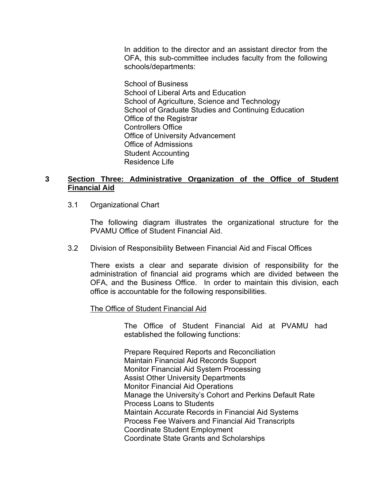In addition to the director and an assistant director from the OFA, this sub-committee includes faculty from the following schools/departments:

School of Business School of Liberal Arts and Education School of Agriculture, Science and Technology School of Graduate Studies and Continuing Education Office of the Registrar Controllers Office Office of University Advancement Office of Admissions Student Accounting Residence Life

## **3 Section Three: Administrative Organization of the Office of Student Financial Aid**

3.1 Organizational Chart

The following diagram illustrates the organizational structure for the PVAMU Office of Student Financial Aid.

3.2 Division of Responsibility Between Financial Aid and Fiscal Offices

 There exists a clear and separate division of responsibility for the administration of financial aid programs which are divided between the OFA, and the Business Office. In order to maintain this division, each office is accountable for the following responsibilities.

The Office of Student Financial Aid

The Office of Student Financial Aid at PVAMU had established the following functions:

Prepare Required Reports and Reconciliation Maintain Financial Aid Records Support Monitor Financial Aid System Processing Assist Other University Departments Monitor Financial Aid Operations Manage the University's Cohort and Perkins Default Rate Process Loans to Students Maintain Accurate Records in Financial Aid Systems Process Fee Waivers and Financial Aid Transcripts Coordinate Student Employment Coordinate State Grants and Scholarships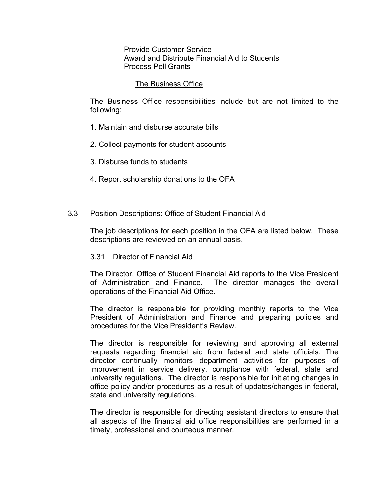Provide Customer Service Award and Distribute Financial Aid to Students Process Pell Grants

#### The Business Office

 The Business Office responsibilities include but are not limited to the following:

- 1. Maintain and disburse accurate bills
- 2. Collect payments for student accounts
- 3. Disburse funds to students
- 4. Report scholarship donations to the OFA
- 3.3 Position Descriptions: Office of Student Financial Aid

 The job descriptions for each position in the OFA are listed below. These descriptions are reviewed on an annual basis.

3.31 Director of Financial Aid

The Director, Office of Student Financial Aid reports to the Vice President of Administration and Finance. The director manages the overall operations of the Financial Aid Office.

The director is responsible for providing monthly reports to the Vice President of Administration and Finance and preparing policies and procedures for the Vice President's Review.

The director is responsible for reviewing and approving all external requests regarding financial aid from federal and state officials. The director continually monitors department activities for purposes of improvement in service delivery, compliance with federal, state and university regulations. The director is responsible for initiating changes in office policy and/or procedures as a result of updates/changes in federal, state and university regulations.

The director is responsible for directing assistant directors to ensure that all aspects of the financial aid office responsibilities are performed in a timely, professional and courteous manner.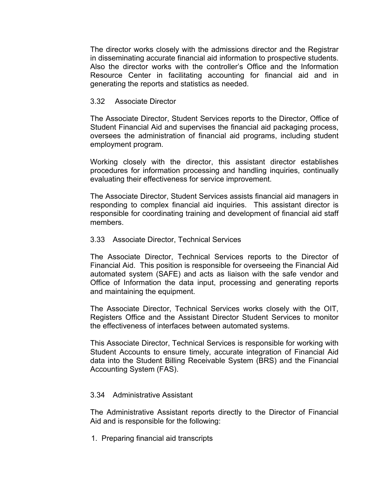The director works closely with the admissions director and the Registrar in disseminating accurate financial aid information to prospective students. Also the director works with the controller's Office and the Information Resource Center in facilitating accounting for financial aid and in generating the reports and statistics as needed.

## 3.32 Associate Director

The Associate Director, Student Services reports to the Director, Office of Student Financial Aid and supervises the financial aid packaging process, oversees the administration of financial aid programs, including student employment program.

Working closely with the director, this assistant director establishes procedures for information processing and handling inquiries, continually evaluating their effectiveness for service improvement.

The Associate Director, Student Services assists financial aid managers in responding to complex financial aid inquiries. This assistant director is responsible for coordinating training and development of financial aid staff members.

## 3.33 Associate Director, Technical Services

The Associate Director, Technical Services reports to the Director of Financial Aid. This position is responsible for overseeing the Financial Aid automated system (SAFE) and acts as liaison with the safe vendor and Office of Information the data input, processing and generating reports and maintaining the equipment.

The Associate Director, Technical Services works closely with the OIT, Registers Office and the Assistant Director Student Services to monitor the effectiveness of interfaces between automated systems.

This Associate Director, Technical Services is responsible for working with Student Accounts to ensure timely, accurate integration of Financial Aid data into the Student Billing Receivable System (BRS) and the Financial Accounting System (FAS).

## 3.34 Administrative Assistant

The Administrative Assistant reports directly to the Director of Financial Aid and is responsible for the following:

1. Preparing financial aid transcripts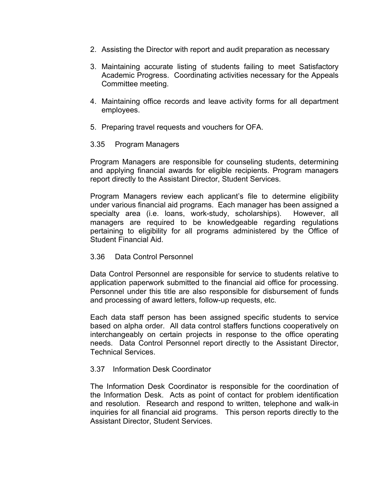- 2. Assisting the Director with report and audit preparation as necessary
- 3. Maintaining accurate listing of students failing to meet Satisfactory Academic Progress. Coordinating activities necessary for the Appeals Committee meeting.
- 4. Maintaining office records and leave activity forms for all department employees.
- 5. Preparing travel requests and vouchers for OFA.

#### 3.35 Program Managers

Program Managers are responsible for counseling students, determining and applying financial awards for eligible recipients. Program managers report directly to the Assistant Director, Student Services.

Program Managers review each applicant's file to determine eligibility under various financial aid programs. Each manager has been assigned a specialty area (i.e. loans, work-study, scholarships). However, all managers are required to be knowledgeable regarding regulations pertaining to eligibility for all programs administered by the Office of Student Financial Aid.

#### 3.36 Data Control Personnel

Data Control Personnel are responsible for service to students relative to application paperwork submitted to the financial aid office for processing. Personnel under this title are also responsible for disbursement of funds and processing of award letters, follow-up requests, etc.

Each data staff person has been assigned specific students to service based on alpha order. All data control staffers functions cooperatively on interchangeably on certain projects in response to the office operating needs. Data Control Personnel report directly to the Assistant Director, Technical Services.

#### 3.37 Information Desk Coordinator

The Information Desk Coordinator is responsible for the coordination of the Information Desk. Acts as point of contact for problem identification and resolution. Research and respond to written, telephone and walk-in inquiries for all financial aid programs. This person reports directly to the Assistant Director, Student Services.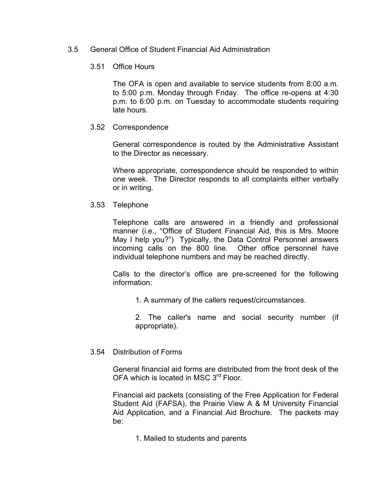## 3.5 General Office of Student Financial Aid Administration

## 3.51 Office Hours

The OFA is open and available to service students from 8:00 a.m. to 5:00 p.m. Monday through Friday. The office re-opens at 4:30 p.m. to 6:00 p.m. on Tuesday to accommodate students requiring late hours.

## 3.52 Correspondence

General correspondence is routed by the Administrative Assistant to the Director as necessary.

Where appropriate, correspondence should be responded to within one week. The Director responds to all complaints either verbally or in writing.

## 3.53 Telephone

Telephone calls are answered in a friendly and professional manner (i.e., "Office of Student Financial Aid, this is Mrs. Moore May I help you?") Typically, the Data Control Personnel answers incoming calls on the 800 line. Other office personnel have individual telephone numbers and may be reached directly.

Calls to the director's office are pre-screened for the following information:

1. A summary of the callers request/circumstances.

 2. The caller's name and social security number (if appropriate).

## 3.54 Distribution of Forms

General financial aid forms are distributed from the front desk of the OFA which is located in MSC 3<sup>rd</sup> Floor.

Financial aid packets (consisting of the Free Application for Federal Student Aid (FAFSA), the Prairie View A & M University Financial Aid Application, and a Financial Aid Brochure. The packets may be:

1. Mailed to students and parents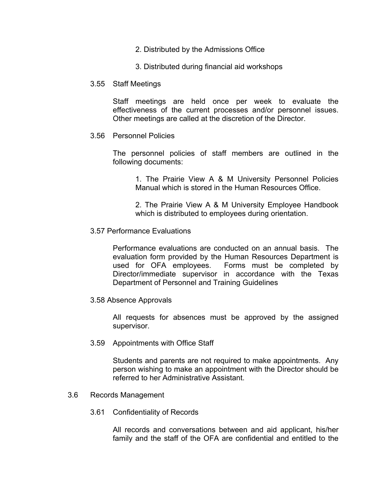- 2. Distributed by the Admissions Office
- 3. Distributed during financial aid workshops
- 3.55 Staff Meetings

Staff meetings are held once per week to evaluate the effectiveness of the current processes and/or personnel issues. Other meetings are called at the discretion of the Director.

3.56 Personnel Policies

The personnel policies of staff members are outlined in the following documents:

> 1. The Prairie View A & M University Personnel Policies Manual which is stored in the Human Resources Office.

> 2. The Prairie View A & M University Employee Handbook which is distributed to employees during orientation.

3.57 Performance Evaluations

Performance evaluations are conducted on an annual basis. The evaluation form provided by the Human Resources Department is used for OFA employees. Forms must be completed by Director/immediate supervisor in accordance with the Texas Department of Personnel and Training Guidelines

3.58 Absence Approvals

All requests for absences must be approved by the assigned supervisor.

3.59 Appointments with Office Staff

Students and parents are not required to make appointments. Any person wishing to make an appointment with the Director should be referred to her Administrative Assistant.

- 3.6 Records Management
	- 3.61 Confidentiality of Records

All records and conversations between and aid applicant, his/her family and the staff of the OFA are confidential and entitled to the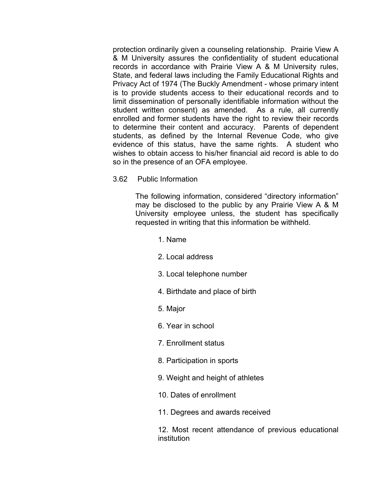protection ordinarily given a counseling relationship. Prairie View A & M University assures the confidentiality of student educational records in accordance with Prairie View A & M University rules, State, and federal laws including the Family Educational Rights and Privacy Act of 1974 (The Buckly Amendment - whose primary intent is to provide students access to their educational records and to limit dissemination of personally identifiable information without the student written consent) as amended. As a rule, all currently enrolled and former students have the right to review their records to determine their content and accuracy. Parents of dependent students, as defined by the Internal Revenue Code, who give evidence of this status, have the same rights. A student who wishes to obtain access to his/her financial aid record is able to do so in the presence of an OFA employee.

3.62 Public Information

The following information, considered "directory information" may be disclosed to the public by any Prairie View A & M University employee unless, the student has specifically requested in writing that this information be withheld.

- 1. Name
- 2. Local address
- 3. Local telephone number
- 4. Birthdate and place of birth
- 5. Major
- 6. Year in school
- 7. Enrollment status
- 8. Participation in sports
- 9. Weight and height of athletes
- 10. Dates of enrollment
- 11. Degrees and awards received

12. Most recent attendance of previous educational institution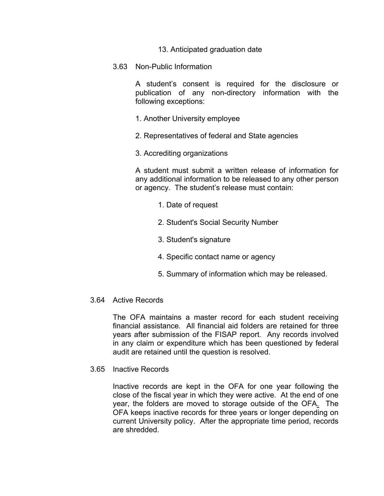- 13. Anticipated graduation date
- 3.63 Non-Public Information

A student's consent is required for the disclosure or publication of any non-directory information with the following exceptions:

- 1. Another University employee
- 2. Representatives of federal and State agencies
- 3. Accrediting organizations

A student must submit a written release of information for any additional information to be released to any other person or agency. The student's release must contain:

- 1. Date of request
- 2. Student's Social Security Number
- 3. Student's signature
- 4. Specific contact name or agency
- 5. Summary of information which may be released.

#### 3.64 Active Records

The OFA maintains a master record for each student receiving financial assistance. All financial aid folders are retained for three years after submission of the FISAP report. Any records involved in any claim or expenditure which has been questioned by federal audit are retained until the question is resolved.

3.65 Inactive Records

 Inactive records are kept in the OFA for one year following the close of the fiscal year in which they were active. At the end of one year, the folders are moved to storage outside of the OFA. The OFA keeps inactive records for three years or longer depending on current University policy. After the appropriate time period, records are shredded.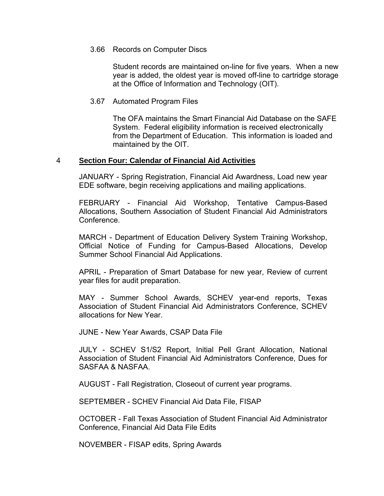#### 3.66 Records on Computer Discs

 Student records are maintained on-line for five years. When a new year is added, the oldest year is moved off-line to cartridge storage at the Office of Information and Technology (OIT).

#### 3.67 Automated Program Files

The OFA maintains the Smart Financial Aid Database on the SAFE System. Federal eligibility information is received electronically from the Department of Education. This information is loaded and maintained by the OIT.

#### 4 **Section Four: Calendar of Financial Aid Activities**

JANUARY - Spring Registration, Financial Aid Awardness, Load new year EDE software, begin receiving applications and mailing applications.

FEBRUARY - Financial Aid Workshop, Tentative Campus-Based Allocations, Southern Association of Student Financial Aid Administrators Conference.

MARCH - Department of Education Delivery System Training Workshop, Official Notice of Funding for Campus-Based Allocations, Develop Summer School Financial Aid Applications.

APRIL - Preparation of Smart Database for new year, Review of current year files for audit preparation.

MAY - Summer School Awards, SCHEV year-end reports, Texas Association of Student Financial Aid Administrators Conference, SCHEV allocations for New Year.

JUNE - New Year Awards, CSAP Data File

JULY - SCHEV S1/S2 Report, Initial Pell Grant Allocation, National Association of Student Financial Aid Administrators Conference, Dues for SASFAA & NASFAA.

AUGUST - Fall Registration, Closeout of current year programs.

SEPTEMBER - SCHEV Financial Aid Data File, FISAP

OCTOBER - Fall Texas Association of Student Financial Aid Administrator Conference, Financial Aid Data File Edits

NOVEMBER - FISAP edits, Spring Awards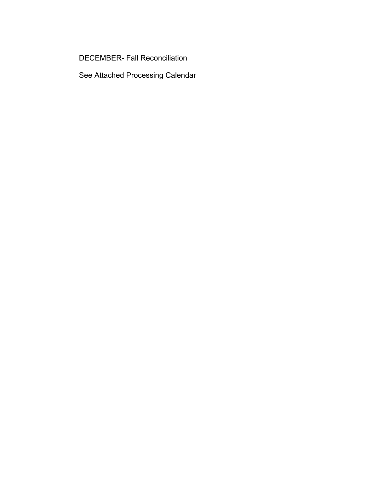DECEMBER- Fall Reconciliation

See Attached Processing Calendar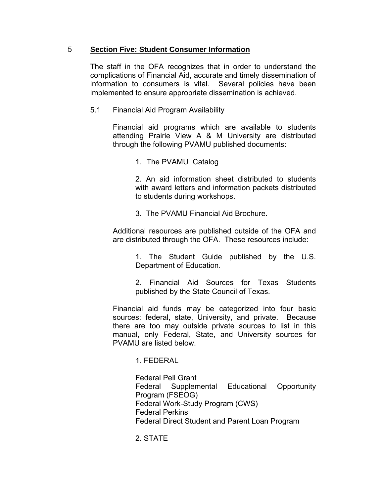## 5 **Section Five: Student Consumer Information**

The staff in the OFA recognizes that in order to understand the complications of Financial Aid, accurate and timely dissemination of information to consumers is vital. Several policies have been implemented to ensure appropriate dissemination is achieved.

5.1 Financial Aid Program Availability

Financial aid programs which are available to students attending Prairie View A & M University are distributed through the following PVAMU published documents:

1. The PVAMU Catalog

2. An aid information sheet distributed to students with award letters and information packets distributed to students during workshops.

3. The PVAMU Financial Aid Brochure.

Additional resources are published outside of the OFA and are distributed through the OFA. These resources include:

> 1. The Student Guide published by the U.S. Department of Education.

> 2. Financial Aid Sources for Texas Students published by the State Council of Texas.

Financial aid funds may be categorized into four basic sources: federal, state, University, and private. Because there are too may outside private sources to list in this manual, only Federal, State, and University sources for PVAMU are listed below.

## 1. FEDERAL

Federal Pell Grant Federal Supplemental Educational Opportunity Program (FSEOG) Federal Work-Study Program (CWS) Federal Perkins Federal Direct Student and Parent Loan Program

2. STATE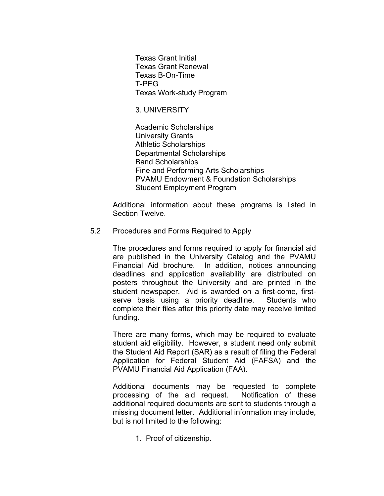Texas Grant Initial Texas Grant Renewal Texas B-On-Time T-PEG Texas Work-study Program

#### 3. UNIVERSITY

 Academic Scholarships University Grants Athletic Scholarships Departmental Scholarships Band Scholarships Fine and Performing Arts Scholarships PVAMU Endowment & Foundation Scholarships Student Employment Program

Additional information about these programs is listed in Section Twelve.

#### 5.2 Procedures and Forms Required to Apply

The procedures and forms required to apply for financial aid are published in the University Catalog and the PVAMU Financial Aid brochure. In addition, notices announcing deadlines and application availability are distributed on posters throughout the University and are printed in the student newspaper. Aid is awarded on a first-come, firstserve basis using a priority deadline. Students who complete their files after this priority date may receive limited funding.

There are many forms, which may be required to evaluate student aid eligibility. However, a student need only submit the Student Aid Report (SAR) as a result of filing the Federal Application for Federal Student Aid (FAFSA) and the PVAMU Financial Aid Application (FAA).

Additional documents may be requested to complete processing of the aid request. Notification of these additional required documents are sent to students through a missing document letter. Additional information may include, but is not limited to the following:

1. Proof of citizenship.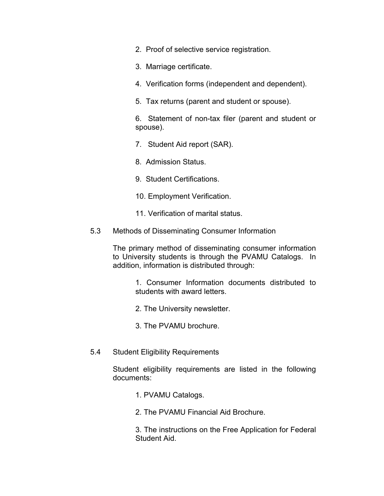- 2. Proof of selective service registration.
- 3. Marriage certificate.
- 4. Verification forms (independent and dependent).
- 5. Tax returns (parent and student or spouse).

6. Statement of non-tax filer (parent and student or spouse).

- 7. Student Aid report (SAR).
- 8. Admission Status.
- 9. Student Certifications.
- 10. Employment Verification.
- 11. Verification of marital status.
- 5.3 Methods of Disseminating Consumer Information

The primary method of disseminating consumer information to University students is through the PVAMU Catalogs. In addition, information is distributed through:

> 1. Consumer Information documents distributed to students with award letters.

- 2. The University newsletter.
- 3. The PVAMU brochure.
- 5.4 Student Eligibility Requirements

Student eligibility requirements are listed in the following documents:

- 1. PVAMU Catalogs.
- 2. The PVAMU Financial Aid Brochure.

3. The instructions on the Free Application for Federal Student Aid.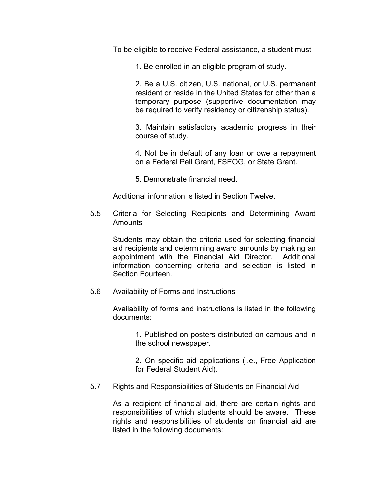To be eligible to receive Federal assistance, a student must:

1. Be enrolled in an eligible program of study.

2. Be a U.S. citizen, U.S. national, or U.S. permanent resident or reside in the United States for other than a temporary purpose (supportive documentation may be required to verify residency or citizenship status).

3. Maintain satisfactory academic progress in their course of study.

4. Not be in default of any loan or owe a repayment on a Federal Pell Grant, FSEOG, or State Grant.

5. Demonstrate financial need.

Additional information is listed in Section Twelve.

 5.5 Criteria for Selecting Recipients and Determining Award Amounts

Students may obtain the criteria used for selecting financial aid recipients and determining award amounts by making an appointment with the Financial Aid Director. Additional information concerning criteria and selection is listed in Section Fourteen.

5.6 Availability of Forms and Instructions

Availability of forms and instructions is listed in the following documents:

> 1. Published on posters distributed on campus and in the school newspaper.

> 2. On specific aid applications (i.e., Free Application for Federal Student Aid).

5.7 Rights and Responsibilities of Students on Financial Aid

As a recipient of financial aid, there are certain rights and responsibilities of which students should be aware. These rights and responsibilities of students on financial aid are listed in the following documents: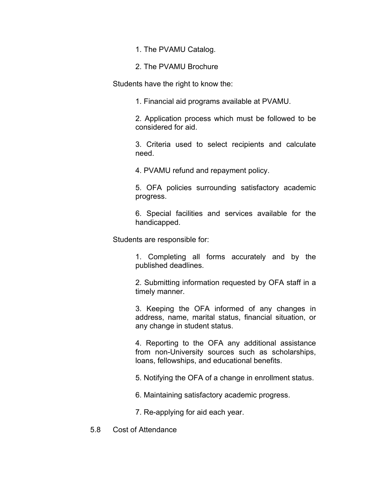1. The PVAMU Catalog.

2. The PVAMU Brochure

Students have the right to know the:

1. Financial aid programs available at PVAMU.

2. Application process which must be followed to be considered for aid.

3. Criteria used to select recipients and calculate need.

4. PVAMU refund and repayment policy.

5. OFA policies surrounding satisfactory academic progress.

6. Special facilities and services available for the handicapped.

Students are responsible for:

1. Completing all forms accurately and by the published deadlines.

2. Submitting information requested by OFA staff in a timely manner.

3. Keeping the OFA informed of any changes in address, name, marital status, financial situation, or any change in student status.

4. Reporting to the OFA any additional assistance from non-University sources such as scholarships, loans, fellowships, and educational benefits.

5. Notifying the OFA of a change in enrollment status.

6. Maintaining satisfactory academic progress.

7. Re-applying for aid each year.

5.8 Cost of Attendance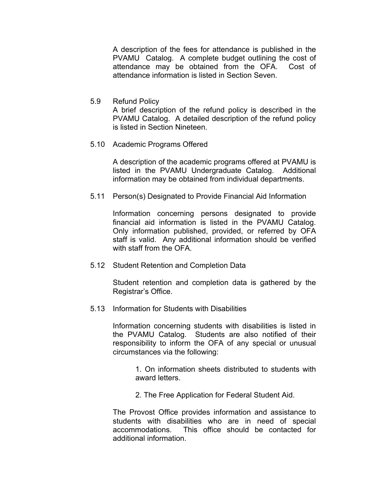A description of the fees for attendance is published in the PVAMU Catalog. A complete budget outlining the cost of attendance may be obtained from the OFA. Cost of attendance information is listed in Section Seven.

5.9 Refund Policy

A brief description of the refund policy is described in the PVAMU Catalog. A detailed description of the refund policy is listed in Section Nineteen.

5.10 Academic Programs Offered

A description of the academic programs offered at PVAMU is listed in the PVAMU Undergraduate Catalog. Additional information may be obtained from individual departments.

5.11 Person(s) Designated to Provide Financial Aid Information

Information concerning persons designated to provide financial aid information is listed in the PVAMU Catalog. Only information published, provided, or referred by OFA staff is valid. Any additional information should be verified with staff from the OFA.

5.12 Student Retention and Completion Data

Student retention and completion data is gathered by the Registrar's Office.

5.13 Information for Students with Disabilities

Information concerning students with disabilities is listed in the PVAMU Catalog. Students are also notified of their responsibility to inform the OFA of any special or unusual circumstances via the following:

> 1. On information sheets distributed to students with award letters.

2. The Free Application for Federal Student Aid.

 The Provost Office provides information and assistance to students with disabilities who are in need of special accommodations. This office should be contacted for additional information.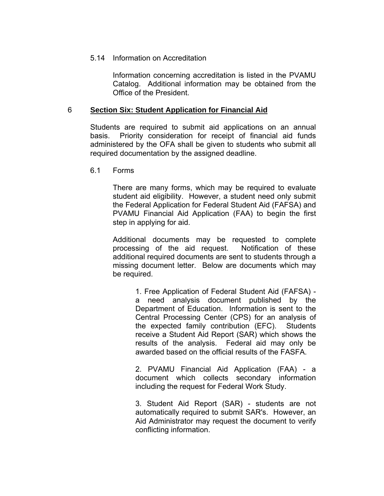### 5.14 Information on Accreditation

Information concerning accreditation is listed in the PVAMU Catalog. Additional information may be obtained from the Office of the President.

#### 6 **Section Six: Student Application for Financial Aid**

Students are required to submit aid applications on an annual basis. Priority consideration for receipt of financial aid funds administered by the OFA shall be given to students who submit all required documentation by the assigned deadline.

6.1 Forms

There are many forms, which may be required to evaluate student aid eligibility. However, a student need only submit the Federal Application for Federal Student Aid (FAFSA) and PVAMU Financial Aid Application (FAA) to begin the first step in applying for aid.

Additional documents may be requested to complete processing of the aid request. Notification of these additional required documents are sent to students through a missing document letter. Below are documents which may be required.

> 1. Free Application of Federal Student Aid (FAFSA) a need analysis document published by the Department of Education. Information is sent to the Central Processing Center (CPS) for an analysis of the expected family contribution (EFC). Students receive a Student Aid Report (SAR) which shows the results of the analysis. Federal aid may only be awarded based on the official results of the FASFA.

> 2. PVAMU Financial Aid Application (FAA) - a document which collects secondary information including the request for Federal Work Study.

> 3. Student Aid Report (SAR) - students are not automatically required to submit SAR's. However, an Aid Administrator may request the document to verify conflicting information.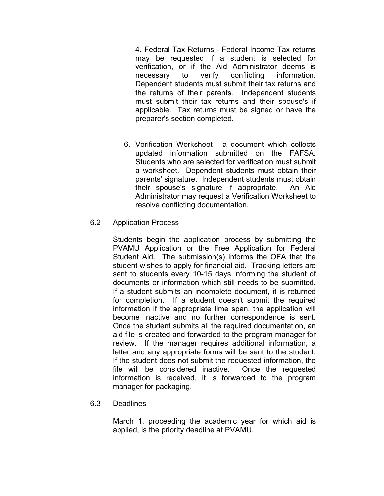4. Federal Tax Returns - Federal Income Tax returns may be requested if a student is selected for verification, or if the Aid Administrator deems is necessary to verify conflicting information. Dependent students must submit their tax returns and the returns of their parents. Independent students must submit their tax returns and their spouse's if applicable. Tax returns must be signed or have the preparer's section completed.

6. Verification Worksheet - a document which collects updated information submitted on the FAFSA. Students who are selected for verification must submit a worksheet. Dependent students must obtain their parents' signature. Independent students must obtain their spouse's signature if appropriate. An Aid Administrator may request a Verification Worksheet to resolve conflicting documentation.

## 6.2 Application Process

Students begin the application process by submitting the PVAMU Application or the Free Application for Federal Student Aid. The submission(s) informs the OFA that the student wishes to apply for financial aid. Tracking letters are sent to students every 10-15 days informing the student of documents or information which still needs to be submitted. If a student submits an incomplete document, it is returned for completion. If a student doesn't submit the required information if the appropriate time span, the application will become inactive and no further correspondence is sent. Once the student submits all the required documentation, an aid file is created and forwarded to the program manager for review. If the manager requires additional information, a letter and any appropriate forms will be sent to the student. If the student does not submit the requested information, the file will be considered inactive. Once the requested information is received, it is forwarded to the program manager for packaging.

## 6.3 Deadlines

March 1, proceeding the academic year for which aid is applied, is the priority deadline at PVAMU.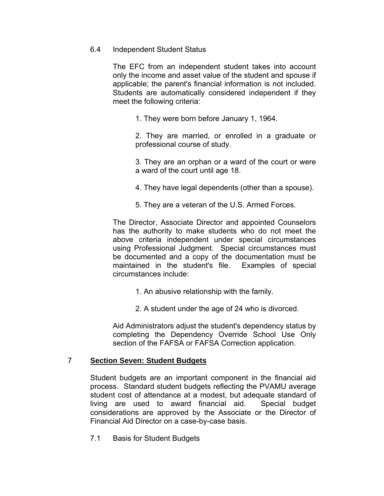## 6.4 Independent Student Status

The EFC from an independent student takes into account only the income and asset value of the student and spouse if applicable; the parent's financial information is not included. Students are automatically considered independent if they meet the following criteria:

1. They were born before January 1, 1964.

2. They are married, or enrolled in a graduate or professional course of study.

3. They are an orphan or a ward of the court or were a ward of the court until age 18.

- 4. They have legal dependents (other than a spouse).
- 5. They are a veteran of the U.S. Armed Forces.

The Director, Associate Director and appointed Counselors has the authority to make students who do not meet the above criteria independent under special circumstances using Professional Judgment. Special circumstances must be documented and a copy of the documentation must be maintained in the student's file. Examples of special circumstances include:

- 1. An abusive relationship with the family.
- 2. A student under the age of 24 who is divorced.

Aid Administrators adjust the student's dependency status by completing the Dependency Override School Use Only section of the FAFSA or FAFSA Correction application.

## 7 **Section Seven: Student Budgets**

Student budgets are an important component in the financial aid process. Standard student budgets reflecting the PVAMU average student cost of attendance at a modest, but adequate standard of living are used to award financial aid. Special budget considerations are approved by the Associate or the Director of Financial Aid Director on a case-by-case basis.

7.1 Basis for Student Budgets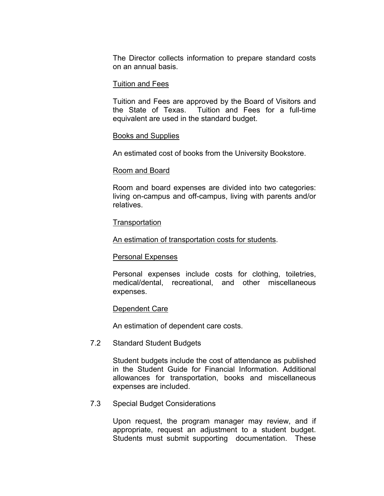The Director collects information to prepare standard costs on an annual basis.

#### Tuition and Fees

Tuition and Fees are approved by the Board of Visitors and the State of Texas. Tuition and Fees for a full-time equivalent are used in the standard budget.

#### Books and Supplies

An estimated cost of books from the University Bookstore.

#### Room and Board

Room and board expenses are divided into two categories: living on-campus and off-campus, living with parents and/or relatives.

#### **Transportation**

An estimation of transportation costs for students.

#### Personal Expenses

Personal expenses include costs for clothing, toiletries, medical/dental, recreational, and other miscellaneous expenses.

#### Dependent Care

An estimation of dependent care costs.

#### 7.2 Standard Student Budgets

Student budgets include the cost of attendance as published in the Student Guide for Financial Information. Additional allowances for transportation, books and miscellaneous expenses are included.

## 7.3 Special Budget Considerations

Upon request, the program manager may review, and if appropriate, request an adjustment to a student budget. Students must submit supporting documentation. These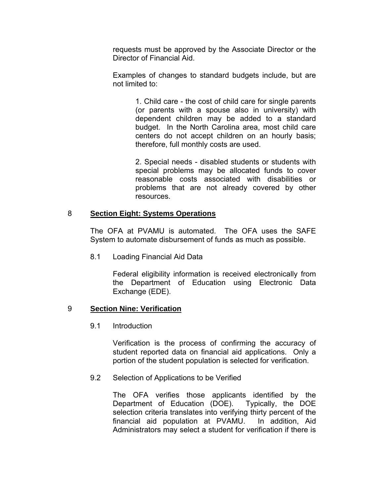requests must be approved by the Associate Director or the Director of Financial Aid.

Examples of changes to standard budgets include, but are not limited to:

> 1. Child care - the cost of child care for single parents (or parents with a spouse also in university) with dependent children may be added to a standard budget. In the North Carolina area, most child care centers do not accept children on an hourly basis; therefore, full monthly costs are used.

> 2. Special needs - disabled students or students with special problems may be allocated funds to cover reasonable costs associated with disabilities or problems that are not already covered by other resources.

## 8 **Section Eight: Systems Operations**

 The OFA at PVAMU is automated. The OFA uses the SAFE System to automate disbursement of funds as much as possible.

8.1 Loading Financial Aid Data

 Federal eligibility information is received electronically from the Department of Education using Electronic Data Exchange (EDE).

## 9 **Section Nine: Verification**

9.1 Introduction

Verification is the process of confirming the accuracy of student reported data on financial aid applications. Only a portion of the student population is selected for verification.

#### 9.2 Selection of Applications to be Verified

The OFA verifies those applicants identified by the Department of Education (DOE). Typically, the DOE selection criteria translates into verifying thirty percent of the financial aid population at PVAMU. In addition, Aid Administrators may select a student for verification if there is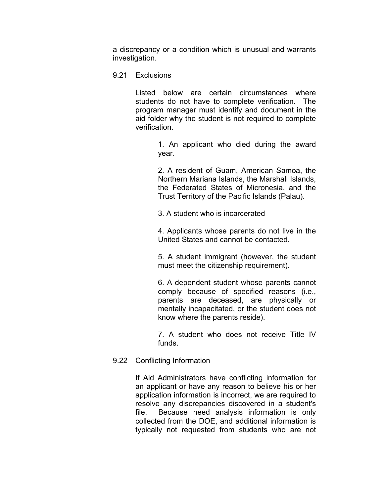a discrepancy or a condition which is unusual and warrants investigation.

9.21 Exclusions

Listed below are certain circumstances where students do not have to complete verification. The program manager must identify and document in the aid folder why the student is not required to complete verification.

> 1. An applicant who died during the award year.

> 2. A resident of Guam, American Samoa, the Northern Mariana Islands, the Marshall Islands, the Federated States of Micronesia, and the Trust Territory of the Pacific Islands (Palau).

3. A student who is incarcerated

4. Applicants whose parents do not live in the United States and cannot be contacted.

5. A student immigrant (however, the student must meet the citizenship requirement).

6. A dependent student whose parents cannot comply because of specified reasons (i.e., parents are deceased, are physically or mentally incapacitated, or the student does not know where the parents reside).

7. A student who does not receive Title IV funds.

## 9.22 Conflicting Information

If Aid Administrators have conflicting information for an applicant or have any reason to believe his or her application information is incorrect, we are required to resolve any discrepancies discovered in a student's file. Because need analysis information is only collected from the DOE, and additional information is typically not requested from students who are not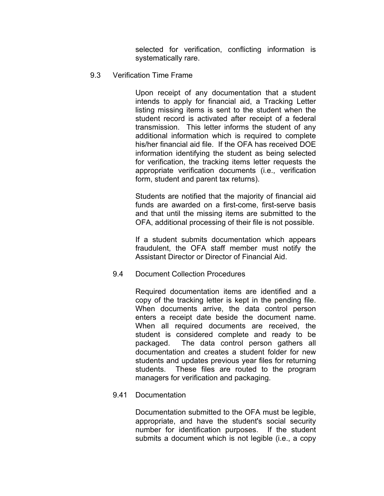selected for verification, conflicting information is systematically rare.

9.3 Verification Time Frame

Upon receipt of any documentation that a student intends to apply for financial aid, a Tracking Letter listing missing items is sent to the student when the student record is activated after receipt of a federal transmission. This letter informs the student of any additional information which is required to complete his/her financial aid file. If the OFA has received DOE information identifying the student as being selected for verification, the tracking items letter requests the appropriate verification documents (i.e., verification form, student and parent tax returns).

Students are notified that the majority of financial aid funds are awarded on a first-come, first-serve basis and that until the missing items are submitted to the OFA, additional processing of their file is not possible.

If a student submits documentation which appears fraudulent, the OFA staff member must notify the Assistant Director or Director of Financial Aid.

9.4 Document Collection Procedures

Required documentation items are identified and a copy of the tracking letter is kept in the pending file. When documents arrive, the data control person enters a receipt date beside the document name. When all required documents are received, the student is considered complete and ready to be packaged. The data control person gathers all documentation and creates a student folder for new students and updates previous year files for returning students. These files are routed to the program managers for verification and packaging.

## 9.41 Documentation

Documentation submitted to the OFA must be legible, appropriate, and have the student's social security number for identification purposes. If the student submits a document which is not legible (i.e., a copy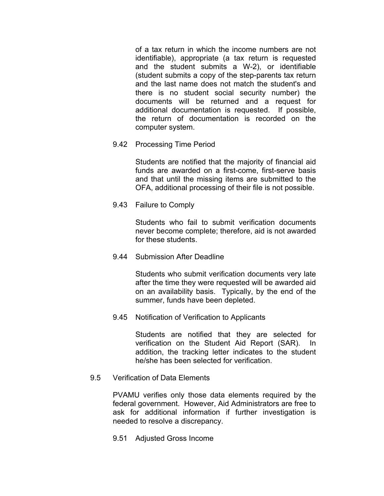of a tax return in which the income numbers are not identifiable), appropriate (a tax return is requested and the student submits a W-2), or identifiable (student submits a copy of the step-parents tax return and the last name does not match the student's and there is no student social security number) the documents will be returned and a request for additional documentation is requested. If possible, the return of documentation is recorded on the computer system.

9.42 Processing Time Period

Students are notified that the majority of financial aid funds are awarded on a first-come, first-serve basis and that until the missing items are submitted to the OFA, additional processing of their file is not possible.

9.43 Failure to Comply

Students who fail to submit verification documents never become complete; therefore, aid is not awarded for these students.

9.44 Submission After Deadline

Students who submit verification documents very late after the time they were requested will be awarded aid on an availability basis. Typically, by the end of the summer, funds have been depleted.

9.45 Notification of Verification to Applicants

Students are notified that they are selected for verification on the Student Aid Report (SAR). In addition, the tracking letter indicates to the student he/she has been selected for verification.

9.5 Verification of Data Elements

PVAMU verifies only those data elements required by the federal government. However, Aid Administrators are free to ask for additional information if further investigation is needed to resolve a discrepancy.

9.51 Adjusted Gross Income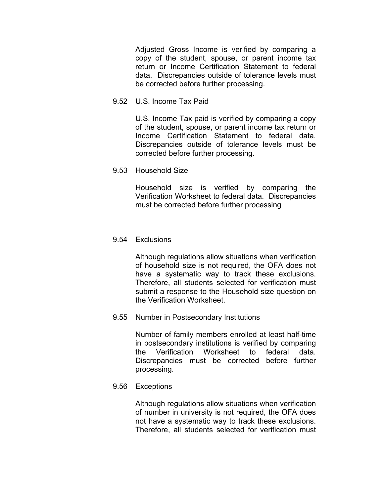Adjusted Gross Income is verified by comparing a copy of the student, spouse, or parent income tax return or Income Certification Statement to federal data. Discrepancies outside of tolerance levels must be corrected before further processing.

9.52 U.S. Income Tax Paid

U.S. Income Tax paid is verified by comparing a copy of the student, spouse, or parent income tax return or Income Certification Statement to federal data. Discrepancies outside of tolerance levels must be corrected before further processing.

9.53 Household Size

Household size is verified by comparing the Verification Worksheet to federal data. Discrepancies must be corrected before further processing

9.54 Exclusions

Although regulations allow situations when verification of household size is not required, the OFA does not have a systematic way to track these exclusions. Therefore, all students selected for verification must submit a response to the Household size question on the Verification Worksheet.

9.55 Number in Postsecondary Institutions

Number of family members enrolled at least half-time in postsecondary institutions is verified by comparing the Verification Worksheet to federal data. Discrepancies must be corrected before further processing.

9.56 Exceptions

Although regulations allow situations when verification of number in university is not required, the OFA does not have a systematic way to track these exclusions. Therefore, all students selected for verification must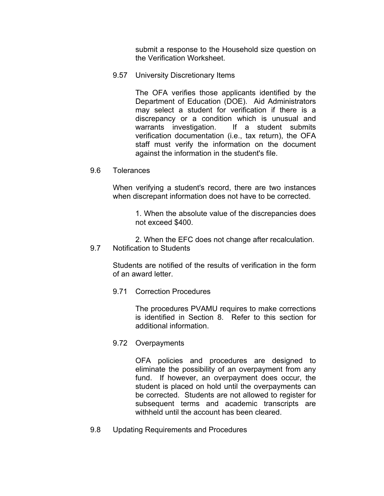submit a response to the Household size question on the Verification Worksheet.

9.57 University Discretionary Items

The OFA verifies those applicants identified by the Department of Education (DOE). Aid Administrators may select a student for verification if there is a discrepancy or a condition which is unusual and warrants investigation. If a student submits verification documentation (i.e., tax return), the OFA staff must verify the information on the document against the information in the student's file.

9.6 Tolerances

When verifying a student's record, there are two instances when discrepant information does not have to be corrected.

> 1. When the absolute value of the discrepancies does not exceed \$400.

2. When the EFC does not change after recalculation. 9.7 Notification to Students

Students are notified of the results of verification in the form of an award letter.

9.71 Correction Procedures

The procedures PVAMU requires to make corrections is identified in Section 8. Refer to this section for additional information.

9.72 Overpayments

OFA policies and procedures are designed to eliminate the possibility of an overpayment from any fund. If however, an overpayment does occur, the student is placed on hold until the overpayments can be corrected. Students are not allowed to register for subsequent terms and academic transcripts are withheld until the account has been cleared.

9.8 Updating Requirements and Procedures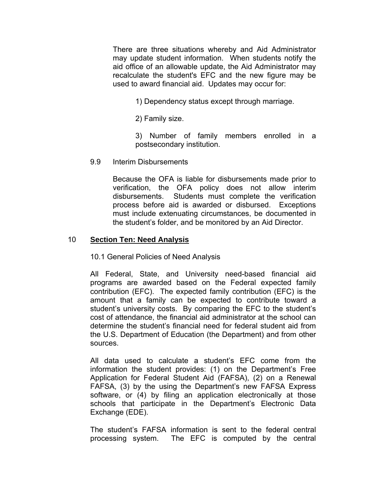There are three situations whereby and Aid Administrator may update student information. When students notify the aid office of an allowable update, the Aid Administrator may recalculate the student's EFC and the new figure may be used to award financial aid. Updates may occur for:

1) Dependency status except through marriage.

2) Family size.

3) Number of family members enrolled in a postsecondary institution.

9.9 Interim Disbursements

 Because the OFA is liable for disbursements made prior to verification, the OFA policy does not allow interim disbursements. Students must complete the verification process before aid is awarded or disbursed. Exceptions must include extenuating circumstances, be documented in the student's folder, and be monitored by an Aid Director.

### 10 **Section Ten: Need Analysis**

10.1 General Policies of Need Analysis

 All Federal, State, and University need-based financial aid programs are awarded based on the Federal expected family contribution (EFC). The expected family contribution (EFC) is the amount that a family can be expected to contribute toward a student's university costs. By comparing the EFC to the student's cost of attendance, the financial aid administrator at the school can determine the student's financial need for federal student aid from the U.S. Department of Education (the Department) and from other sources.

 All data used to calculate a student's EFC come from the information the student provides: (1) on the Department's Free Application for Federal Student Aid (FAFSA), (2) on a Renewal FAFSA, (3) by the using the Department's new FAFSA Express software, or (4) by filing an application electronically at those schools that participate in the Department's Electronic Data Exchange (EDE).

 The student's FAFSA information is sent to the federal central processing system. The EFC is computed by the central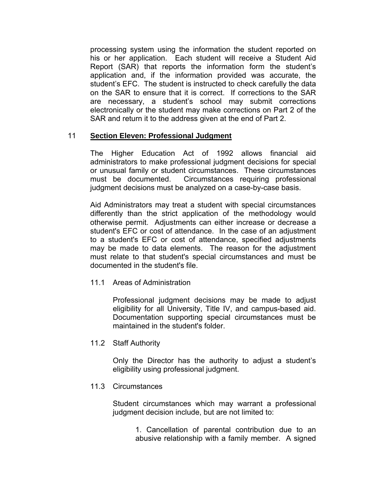processing system using the information the student reported on his or her application. Each student will receive a Student Aid Report (SAR) that reports the information form the student's application and, if the information provided was accurate, the student's EFC. The student is instructed to check carefully the data on the SAR to ensure that it is correct. If corrections to the SAR are necessary, a student's school may submit corrections electronically or the student may make corrections on Part 2 of the SAR and return it to the address given at the end of Part 2.

## 11 **Section Eleven: Professional Judgment**

The Higher Education Act of 1992 allows financial aid administrators to make professional judgment decisions for special or unusual family or student circumstances. These circumstances must be documented. Circumstances requiring professional judgment decisions must be analyzed on a case-by-case basis.

Aid Administrators may treat a student with special circumstances differently than the strict application of the methodology would otherwise permit. Adjustments can either increase or decrease a student's EFC or cost of attendance. In the case of an adjustment to a student's EFC or cost of attendance, specified adjustments may be made to data elements. The reason for the adjustment must relate to that student's special circumstances and must be documented in the student's file.

11.1 Areas of Administration

Professional judgment decisions may be made to adjust eligibility for all University, Title IV, and campus-based aid. Documentation supporting special circumstances must be maintained in the student's folder.

11.2 Staff Authority

Only the Director has the authority to adjust a student's eligibility using professional judgment.

## 11.3 Circumstances

Student circumstances which may warrant a professional judgment decision include, but are not limited to:

> 1. Cancellation of parental contribution due to an abusive relationship with a family member. A signed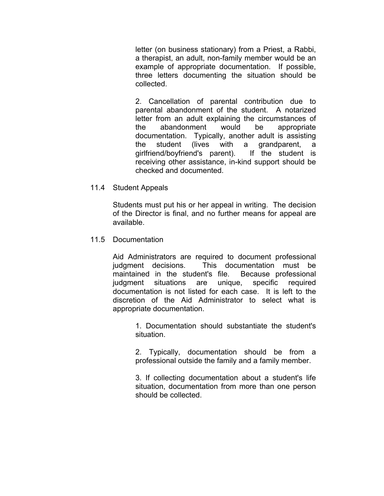letter (on business stationary) from a Priest, a Rabbi, a therapist, an adult, non-family member would be an example of appropriate documentation. If possible, three letters documenting the situation should be collected.

2. Cancellation of parental contribution due to parental abandonment of the student. A notarized letter from an adult explaining the circumstances of the abandonment would be appropriate documentation. Typically, another adult is assisting the student (lives with a grandparent, a girlfriend/boyfriend's parent). If the student is receiving other assistance, in-kind support should be checked and documented.

11.4 Student Appeals

Students must put his or her appeal in writing. The decision of the Director is final, and no further means for appeal are available.

11.5 Documentation

Aid Administrators are required to document professional judgment decisions. This documentation must be maintained in the student's file. Because professional judgment situations are unique, specific required documentation is not listed for each case. It is left to the discretion of the Aid Administrator to select what is appropriate documentation.

> 1. Documentation should substantiate the student's situation.

> 2. Typically, documentation should be from a professional outside the family and a family member.

> 3. If collecting documentation about a student's life situation, documentation from more than one person should be collected.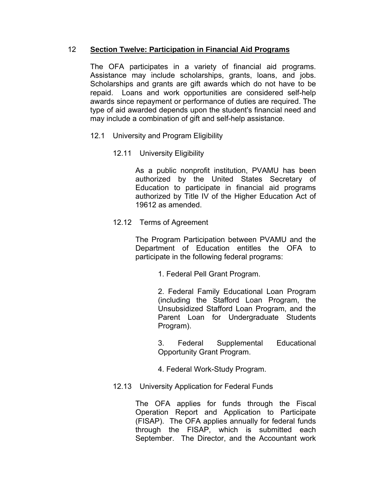# 12 **Section Twelve: Participation in Financial Aid Programs**

The OFA participates in a variety of financial aid programs. Assistance may include scholarships, grants, loans, and jobs. Scholarships and grants are gift awards which do not have to be repaid. Loans and work opportunities are considered self-help awards since repayment or performance of duties are required. The type of aid awarded depends upon the student's financial need and may include a combination of gift and self-help assistance.

- 12.1 University and Program Eligibility
	- 12.11 University Eligibility

As a public nonprofit institution, PVAMU has been authorized by the United States Secretary of Education to participate in financial aid programs authorized by Title IV of the Higher Education Act of 19612 as amended.

12.12 Terms of Agreement

The Program Participation between PVAMU and the Department of Education entitles the OFA to participate in the following federal programs:

1. Federal Pell Grant Program.

2. Federal Family Educational Loan Program (including the Stafford Loan Program, the Unsubsidized Stafford Loan Program, and the Parent Loan for Undergraduate Students Program).

3. Federal Supplemental Educational Opportunity Grant Program.

- 4. Federal Work-Study Program.
- 12.13 University Application for Federal Funds

The OFA applies for funds through the Fiscal Operation Report and Application to Participate (FISAP). The OFA applies annually for federal funds through the FISAP, which is submitted each September. The Director, and the Accountant work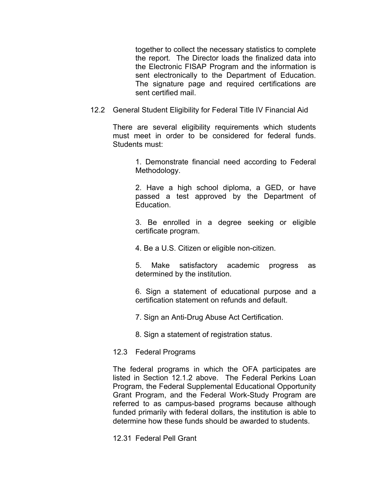together to collect the necessary statistics to complete the report. The Director loads the finalized data into the Electronic FISAP Program and the information is sent electronically to the Department of Education. The signature page and required certifications are sent certified mail.

12.2 General Student Eligibility for Federal Title IV Financial Aid

There are several eligibility requirements which students must meet in order to be considered for federal funds. Students must:

> 1. Demonstrate financial need according to Federal Methodology.

> 2. Have a high school diploma, a GED, or have passed a test approved by the Department of Education.

> 3. Be enrolled in a degree seeking or eligible certificate program.

4. Be a U.S. Citizen or eligible non-citizen.

5. Make satisfactory academic progress as determined by the institution.

6. Sign a statement of educational purpose and a certification statement on refunds and default.

7. Sign an Anti-Drug Abuse Act Certification.

8. Sign a statement of registration status.

#### 12.3 Federal Programs

The federal programs in which the OFA participates are listed in Section 12.1.2 above. The Federal Perkins Loan Program, the Federal Supplemental Educational Opportunity Grant Program, and the Federal Work-Study Program are referred to as campus-based programs because although funded primarily with federal dollars, the institution is able to determine how these funds should be awarded to students.

12.31 Federal Pell Grant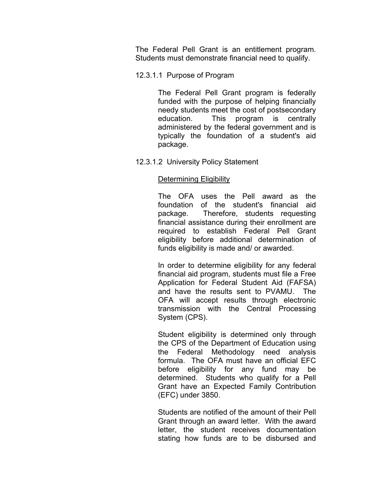The Federal Pell Grant is an entitlement program. Students must demonstrate financial need to qualify.

### 12.3.1.1 Purpose of Program

The Federal Pell Grant program is federally funded with the purpose of helping financially needy students meet the cost of postsecondary education. This program is centrally administered by the federal government and is typically the foundation of a student's aid package.

### 12.3.1.2 University Policy Statement

### Determining Eligibility

The OFA uses the Pell award as the foundation of the student's financial aid package. Therefore, students requesting financial assistance during their enrollment are required to establish Federal Pell Grant eligibility before additional determination of funds eligibility is made and/ or awarded.

In order to determine eligibility for any federal financial aid program, students must file a Free Application for Federal Student Aid (FAFSA) and have the results sent to PVAMU. The OFA will accept results through electronic transmission with the Central Processing System (CPS).

Student eligibility is determined only through the CPS of the Department of Education using the Federal Methodology need analysis formula. The OFA must have an official EFC before eligibility for any fund may be determined. Students who qualify for a Pell Grant have an Expected Family Contribution (EFC) under 3850.

Students are notified of the amount of their Pell Grant through an award letter. With the award letter, the student receives documentation stating how funds are to be disbursed and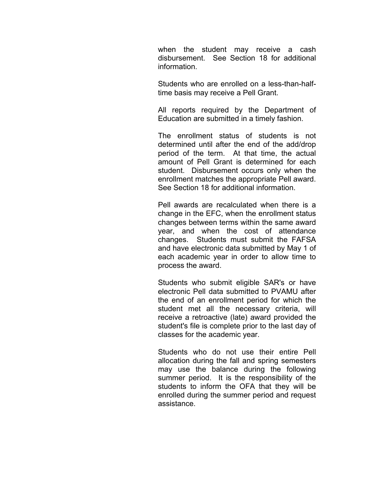when the student may receive a cash disbursement. See Section 18 for additional information.

Students who are enrolled on a less-than-halftime basis may receive a Pell Grant.

All reports required by the Department of Education are submitted in a timely fashion.

The enrollment status of students is not determined until after the end of the add/drop period of the term. At that time, the actual amount of Pell Grant is determined for each student. Disbursement occurs only when the enrollment matches the appropriate Pell award. See Section 18 for additional information.

Pell awards are recalculated when there is a change in the EFC, when the enrollment status changes between terms within the same award year, and when the cost of attendance changes. Students must submit the FAFSA and have electronic data submitted by May 1 of each academic year in order to allow time to process the award.

Students who submit eligible SAR's or have electronic Pell data submitted to PVAMU after the end of an enrollment period for which the student met all the necessary criteria, will receive a retroactive (late) award provided the student's file is complete prior to the last day of classes for the academic year.

Students who do not use their entire Pell allocation during the fall and spring semesters may use the balance during the following summer period. It is the responsibility of the students to inform the OFA that they will be enrolled during the summer period and request assistance.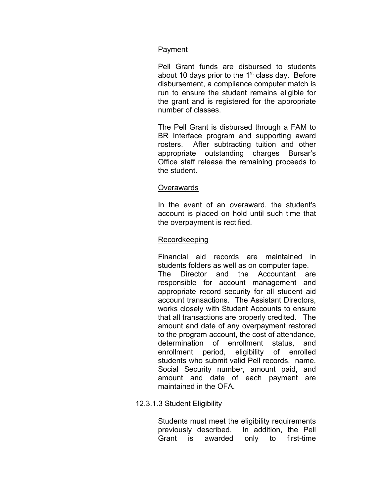# Payment

Pell Grant funds are disbursed to students about 10 days prior to the  $1<sup>st</sup>$  class day. Before disbursement, a compliance computer match is run to ensure the student remains eligible for the grant and is registered for the appropriate number of classes.

The Pell Grant is disbursed through a FAM to BR Interface program and supporting award rosters. After subtracting tuition and other appropriate outstanding charges Bursar's Office staff release the remaining proceeds to the student.

## **Overawards**

In the event of an overaward, the student's account is placed on hold until such time that the overpayment is rectified.

# Recordkeeping

Financial aid records are maintained in students folders as well as on computer tape. The Director and the Accountant are responsible for account management and appropriate record security for all student aid account transactions. The Assistant Directors, works closely with Student Accounts to ensure that all transactions are properly credited. The amount and date of any overpayment restored to the program account, the cost of attendance, determination of enrollment status, and enrollment period, eligibility of enrolled students who submit valid Pell records, name, Social Security number, amount paid, and amount and date of each payment are maintained in the OFA.

## 12.3.1.3 Student Eligibility

Students must meet the eligibility requirements previously described. In addition, the Pell Grant is awarded only to first-time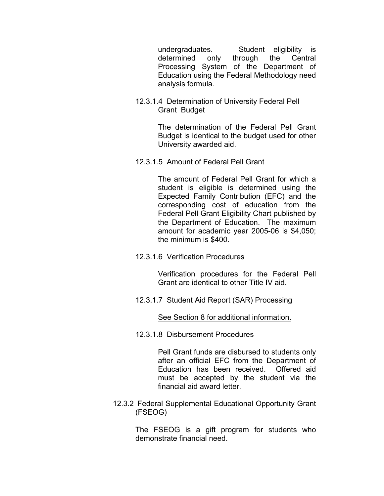undergraduates. Student eligibility is determined only through the Central Processing System of the Department of Education using the Federal Methodology need analysis formula.

12.3.1.4 Determination of University Federal Pell Grant Budget

> The determination of the Federal Pell Grant Budget is identical to the budget used for other University awarded aid.

12.3.1.5 Amount of Federal Pell Grant

The amount of Federal Pell Grant for which a student is eligible is determined using the Expected Family Contribution (EFC) and the corresponding cost of education from the Federal Pell Grant Eligibility Chart published by the Department of Education. The maximum amount for academic year 2005-06 is \$4,050; the minimum is \$400.

12.3.1.6 Verification Procedures

Verification procedures for the Federal Pell Grant are identical to other Title IV aid.

12.3.1.7 Student Aid Report (SAR) Processing

See Section 8 for additional information.

12.3.1.8 Disbursement Procedures

Pell Grant funds are disbursed to students only after an official EFC from the Department of Education has been received. Offered aid must be accepted by the student via the financial aid award letter.

 12.3.2 Federal Supplemental Educational Opportunity Grant (FSEOG)

> The FSEOG is a gift program for students who demonstrate financial need.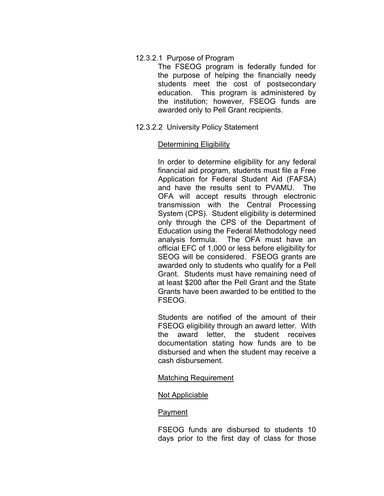### 12.3.2.1 Purpose of Program

The FSEOG program is federally funded for the purpose of helping the financially needy students meet the cost of postsecondary education. This program is administered by the institution; however, FSEOG funds are awarded only to Pell Grant recipients.

12.3.2.2 University Policy Statement

### Determining Eligibility

In order to determine eligibility for any federal financial aid program, students must file a Free Application for Federal Student Aid (FAFSA) and have the results sent to PVAMU. The OFA will accept results through electronic transmission with the Central Processing System (CPS). Student eligibility is determined only through the CPS of the Department of Education using the Federal Methodology need analysis formula. The OFA must have an official EFC of 1,000 or less before eligibility for SEOG will be considered. FSEOG grants are awarded only to students who qualify for a Pell Grant. Students must have remaining need of at least \$200 after the Pell Grant and the State Grants have been awarded to be entitled to the FSEOG.

Students are notified of the amount of their FSEOG eligibility through an award letter. With the award letter, the student receives documentation stating how funds are to be disbursed and when the student may receive a cash disbursement.

#### Matching Requirement

## Not Appliciable

#### Payment

FSEOG funds are disbursed to students 10 days prior to the first day of class for those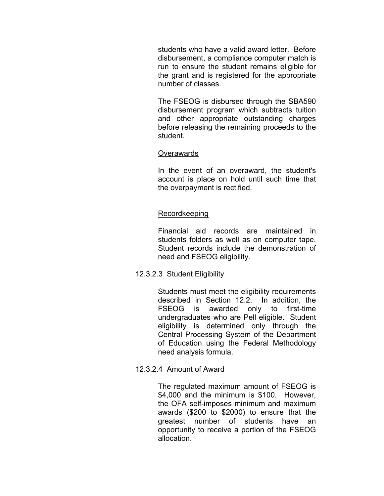students who have a valid award letter. Before disbursement, a compliance computer match is run to ensure the student remains eligible for the grant and is registered for the appropriate number of classes.

The FSEOG is disbursed through the SBA590 disbursement program which subtracts tuition and other appropriate outstanding charges before releasing the remaining proceeds to the student.

### Overawards

In the event of an overaward, the student's account is place on hold until such time that the overpayment is rectified.

## Recordkeeping

Financial aid records are maintained in students folders as well as on computer tape. Student records include the demonstration of need and FSEOG eligibility.

12.3.2.3 Student Eligibility

Students must meet the eligibility requirements described in Section 12.2. In addition, the FSEOG is awarded only to first-time undergraduates who are Pell eligible. Student eligibility is determined only through the Central Processing System of the Department of Education using the Federal Methodology need analysis formula.

12.3.2.4 Amount of Award

The regulated maximum amount of FSEOG is \$4,000 and the minimum is \$100. However, the OFA self-imposes minimum and maximum awards (\$200 to \$2000) to ensure that the greatest number of students have an opportunity to receive a portion of the FSEOG allocation.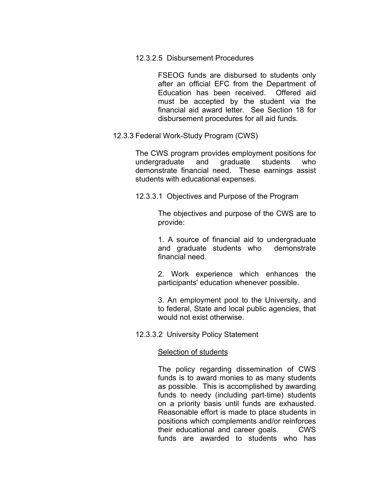12.3.2.5 Disbursement Procedures

FSEOG funds are disbursed to students only after an official EFC from the Department of Education has been received. Offered aid must be accepted by the student via the financial aid award letter. See Section 18 for disbursement procedures for all aid funds.

12.3.3 Federal Work-Study Program (CWS)

The CWS program provides employment positions for undergraduate and graduate students who demonstrate financial need. These earnings assist students with educational expenses.

12.3.3.1 Objectives and Purpose of the Program

The objectives and purpose of the CWS are to provide:

1. A source of financial aid to undergraduate and graduate students who demonstrate financial need.

2. Work experience which enhances the participants' education whenever possible.

3. An employment pool to the University, and to federal, State and local public agencies, that would not exist otherwise.

12.3.3.2 University Policy Statement

#### Selection of students

The policy regarding dissemination of CWS funds is to award monies to as many students as possible. This is accomplished by awarding funds to needy (including part-time) students on a priority basis until funds are exhausted. Reasonable effort is made to place students in positions which complements and/or reinforces their educational and career goals. CWS funds are awarded to students who has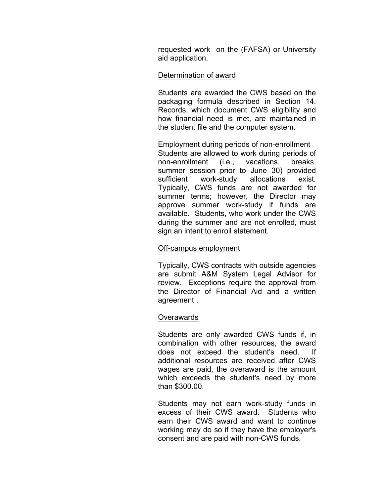requested work on the (FAFSA) or University aid application.

### Determination of award

Students are awarded the CWS based on the packaging formula described in Section 14. Records, which document CWS eligibility and how financial need is met, are maintained in the student file and the computer system.

Employment during periods of non-enrollment Students are allowed to work during periods of non-enrollment (i.e., vacations, breaks, summer session prior to June 30) provided sufficient work-study allocations exist. Typically, CWS funds are not awarded for summer terms; however, the Director may approve summer work-study if funds are available. Students, who work under the CWS during the summer and are not enrolled, must sign an intent to enroll statement.

#### Off-campus employment

Typically, CWS contracts with outside agencies are submit A&M System Legal Advisor for review. Exceptions require the approval from the Director of Financial Aid and a written agreement .

## **Overawards**

Students are only awarded CWS funds if, in combination with other resources, the award does not exceed the student's need. If additional resources are received after CWS wages are paid, the overaward is the amount which exceeds the student's need by more than \$300.00.

Students may not earn work-study funds in excess of their CWS award. Students who earn their CWS award and want to continue working may do so if they have the employer's consent and are paid with non-CWS funds.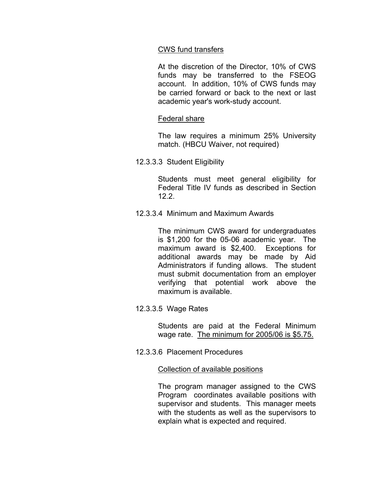### CWS fund transfers

At the discretion of the Director, 10% of CWS funds may be transferred to the FSEOG account. In addition, 10% of CWS funds may be carried forward or back to the next or last academic year's work-study account.

### Federal share

The law requires a minimum 25% University match. (HBCU Waiver, not required)

12.3.3.3 Student Eligibility

Students must meet general eligibility for Federal Title IV funds as described in Section 12.2.

12.3.3.4 Minimum and Maximum Awards

The minimum CWS award for undergraduates is \$1,200 for the 05-06 academic year. The maximum award is \$2,400. Exceptions for additional awards may be made by Aid Administrators if funding allows. The student must submit documentation from an employer verifying that potential work above the maximum is available.

12.3.3.5 Wage Rates

Students are paid at the Federal Minimum wage rate. The minimum for 2005/06 is \$5.75.

12.3.3.6 Placement Procedures

### Collection of available positions

The program manager assigned to the CWS Program coordinates available positions with supervisor and students. This manager meets with the students as well as the supervisors to explain what is expected and required.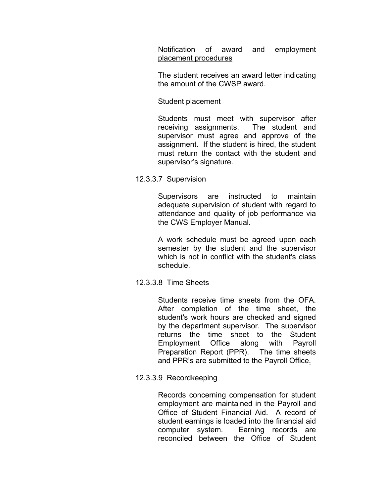Notification of award and employment placement procedures

The student receives an award letter indicating the amount of the CWSP award.

## Student placement

Students must meet with supervisor after receiving assignments. The student and supervisor must agree and approve of the assignment. If the student is hired, the student must return the contact with the student and supervisor's signature.

# 12.3.3.7 Supervision

Supervisors are instructed to maintain adequate supervision of student with regard to attendance and quality of job performance via the CWS Employer Manual.

A work schedule must be agreed upon each semester by the student and the supervisor which is not in conflict with the student's class schedule.

## 12.3.3.8 Time Sheets

Students receive time sheets from the OFA. After completion of the time sheet, the student's work hours are checked and signed by the department supervisor. The supervisor returns the time sheet to the Student Employment Office along with Payroll Preparation Report (PPR). The time sheets and PPR's are submitted to the Payroll Office.

## 12.3.3.9 Recordkeeping

Records concerning compensation for student employment are maintained in the Payroll and Office of Student Financial Aid. A record of student earnings is loaded into the financial aid computer system. Earning records are reconciled between the Office of Student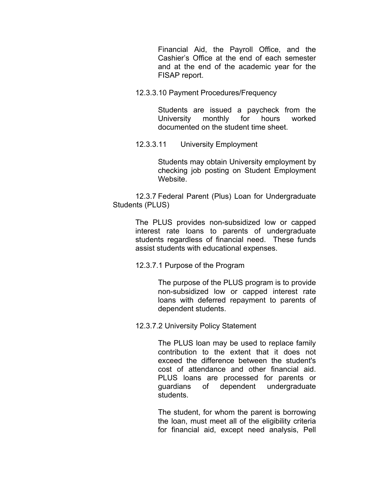Financial Aid, the Payroll Office, and the Cashier's Office at the end of each semester and at the end of the academic year for the FISAP report.

12.3.3.10 Payment Procedures/Frequency

Students are issued a paycheck from the University monthly for hours worked documented on the student time sheet.

12.3.3.11 University Employment

Students may obtain University employment by checking job posting on Student Employment Website.

 12.3.7 Federal Parent (Plus) Loan for Undergraduate Students (PLUS)

> The PLUS provides non-subsidized low or capped interest rate loans to parents of undergraduate students regardless of financial need. These funds assist students with educational expenses.

12.3.7.1 Purpose of the Program

The purpose of the PLUS program is to provide non-subsidized low or capped interest rate loans with deferred repayment to parents of dependent students.

12.3.7.2 University Policy Statement

The PLUS loan may be used to replace family contribution to the extent that it does not exceed the difference between the student's cost of attendance and other financial aid. PLUS loans are processed for parents or guardians of dependent undergraduate students.

The student, for whom the parent is borrowing the loan, must meet all of the eligibility criteria for financial aid, except need analysis, Pell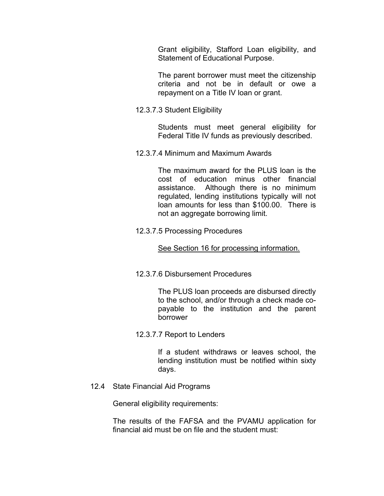Grant eligibility, Stafford Loan eligibility, and Statement of Educational Purpose.

The parent borrower must meet the citizenship criteria and not be in default or owe a repayment on a Title IV loan or grant.

12.3.7.3 Student Eligibility

Students must meet general eligibility for Federal Title IV funds as previously described.

12.3.7.4 Minimum and Maximum Awards

The maximum award for the PLUS loan is the cost of education minus other financial assistance. Although there is no minimum regulated, lending institutions typically will not loan amounts for less than \$100.00. There is not an aggregate borrowing limit.

12.3.7.5 Processing Procedures

#### See Section 16 for processing information.

12.3.7.6 Disbursement Procedures

The PLUS loan proceeds are disbursed directly to the school, and/or through a check made copayable to the institution and the parent borrower

12.3.7.7 Report to Lenders

If a student withdraws or leaves school, the lending institution must be notified within sixty days.

12.4 State Financial Aid Programs

General eligibility requirements:

The results of the FAFSA and the PVAMU application for financial aid must be on file and the student must: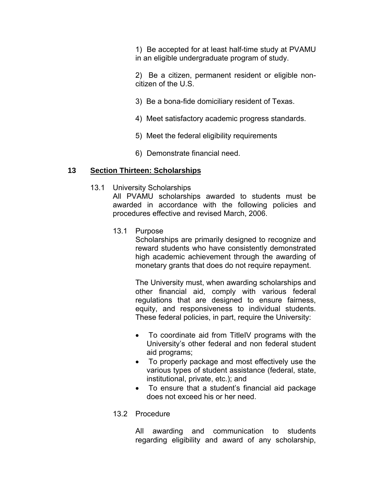1) Be accepted for at least half-time study at PVAMU in an eligible undergraduate program of study.

2) Be a citizen, permanent resident or eligible noncitizen of the U.S.

- 3) Be a bona-fide domiciliary resident of Texas.
- 4) Meet satisfactory academic progress standards.
- 5) Meet the federal eligibility requirements
- 6) Demonstrate financial need.

### **13 Section Thirteen: Scholarships**

13.1 University Scholarships

All PVAMU scholarships awarded to students must be awarded in accordance with the following policies and procedures effective and revised March, 2006.

13.1 Purpose

Scholarships are primarily designed to recognize and reward students who have consistently demonstrated high academic achievement through the awarding of monetary grants that does do not require repayment.

The University must, when awarding scholarships and other financial aid, comply with various federal regulations that are designed to ensure fairness, equity, and responsiveness to individual students. These federal policies, in part, require the University:

- To coordinate aid from TitleIV programs with the University's other federal and non federal student aid programs;
- To properly package and most effectively use the various types of student assistance (federal, state, institutional, private, etc.); and
- To ensure that a student's financial aid package does not exceed his or her need.

## 13.2 Procedure

All awarding and communication to students regarding eligibility and award of any scholarship,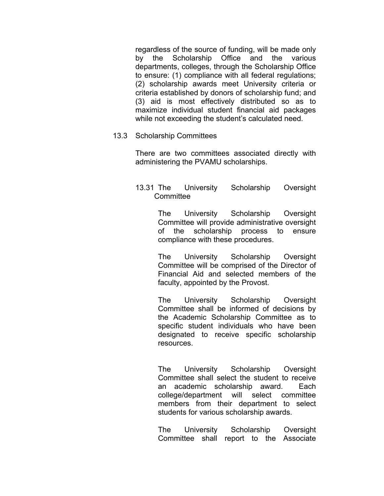regardless of the source of funding, will be made only by the Scholarship Office and the various departments, colleges, through the Scholarship Office to ensure: (1) compliance with all federal regulations; (2) scholarship awards meet University criteria or criteria established by donors of scholarship fund; and (3) aid is most effectively distributed so as to maximize individual student financial aid packages while not exceeding the student's calculated need.

### 13.3 Scholarship Committees

There are two committees associated directly with administering the PVAMU scholarships.

## 13.31 The University Scholarship Oversight **Committee**

The University Scholarship Oversight Committee will provide administrative oversight of the scholarship process to ensure compliance with these procedures.

The University Scholarship Oversight Committee will be comprised of the Director of Financial Aid and selected members of the faculty, appointed by the Provost.

The University Scholarship Oversight Committee shall be informed of decisions by the Academic Scholarship Committee as to specific student individuals who have been designated to receive specific scholarship resources.

The University Scholarship Oversight Committee shall select the student to receive an academic scholarship award. Each college/department will select committee members from their department to select students for various scholarship awards.

The University Scholarship Oversight Committee shall report to the Associate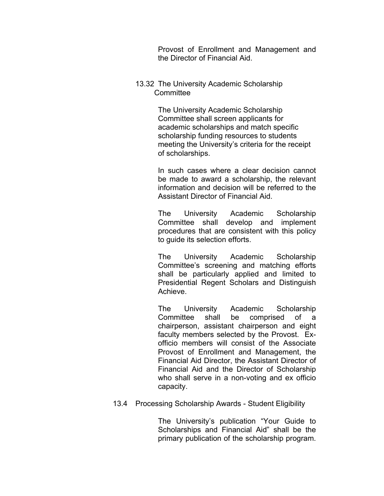Provost of Enrollment and Management and the Director of Financial Aid.

13.32 The University Academic Scholarship **Committee** 

> The University Academic Scholarship Committee shall screen applicants for academic scholarships and match specific scholarship funding resources to students meeting the University's criteria for the receipt of scholarships.

In such cases where a clear decision cannot be made to award a scholarship, the relevant information and decision will be referred to the Assistant Director of Financial Aid.

The University Academic Scholarship Committee shall develop and implement procedures that are consistent with this policy to guide its selection efforts.

The University Academic Scholarship Committee's screening and matching efforts shall be particularly applied and limited to Presidential Regent Scholars and Distinguish Achieve.

The University Academic Scholarship Committee shall be comprised of a chairperson, assistant chairperson and eight faculty members selected by the Provost. Exofficio members will consist of the Associate Provost of Enrollment and Management, the Financial Aid Director, the Assistant Director of Financial Aid and the Director of Scholarship who shall serve in a non-voting and ex officio capacity.

13.4 Processing Scholarship Awards - Student Eligibility

The University's publication "Your Guide to Scholarships and Financial Aid" shall be the primary publication of the scholarship program.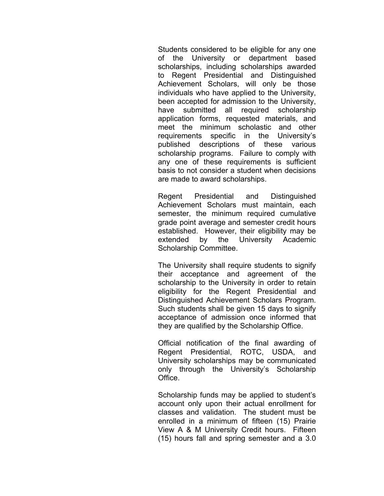Students considered to be eligible for any one of the University or department based scholarships, including scholarships awarded to Regent Presidential and Distinguished Achievement Scholars, will only be those individuals who have applied to the University, been accepted for admission to the University, have submitted all required scholarship application forms, requested materials, and meet the minimum scholastic and other requirements specific in the University's published descriptions of these various scholarship programs. Failure to comply with any one of these requirements is sufficient basis to not consider a student when decisions are made to award scholarships.

Regent Presidential and Distinguished Achievement Scholars must maintain, each semester, the minimum required cumulative grade point average and semester credit hours established. However, their eligibility may be extended by the University Academic Scholarship Committee.

The University shall require students to signify their acceptance and agreement of the scholarship to the University in order to retain eligibility for the Regent Presidential and Distinguished Achievement Scholars Program. Such students shall be given 15 days to signify acceptance of admission once informed that they are qualified by the Scholarship Office.

Official notification of the final awarding of Regent Presidential, ROTC, USDA, and University scholarships may be communicated only through the University's Scholarship Office.

Scholarship funds may be applied to student's account only upon their actual enrollment for classes and validation. The student must be enrolled in a minimum of fifteen (15) Prairie View A & M University Credit hours. Fifteen (15) hours fall and spring semester and a 3.0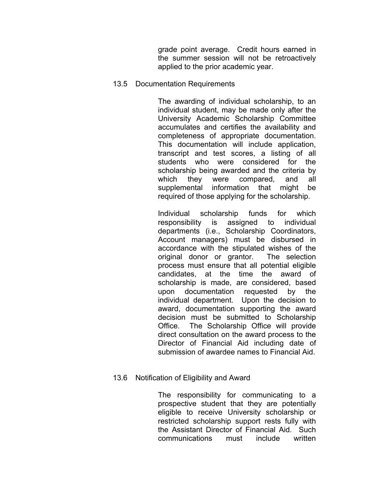grade point average. Credit hours earned in the summer session will not be retroactively applied to the prior academic year.

### 13.5 Documentation Requirements

The awarding of individual scholarship, to an individual student, may be made only after the University Academic Scholarship Committee accumulates and certifies the availability and completeness of appropriate documentation. This documentation will include application, transcript and test scores, a listing of all students who were considered for the scholarship being awarded and the criteria by which they were compared, and all supplemental information that might be required of those applying for the scholarship.

Individual scholarship funds for which responsibility is assigned to individual departments (i.e., Scholarship Coordinators, Account managers) must be disbursed in accordance with the stipulated wishes of the original donor or grantor. The selection process must ensure that all potential eligible candidates, at the time the award of scholarship is made, are considered, based upon documentation requested by the individual department. Upon the decision to award, documentation supporting the award decision must be submitted to Scholarship Office. The Scholarship Office will provide direct consultation on the award process to the Director of Financial Aid including date of submission of awardee names to Financial Aid.

## 13.6 Notification of Eligibility and Award

The responsibility for communicating to a prospective student that they are potentially eligible to receive University scholarship or restricted scholarship support rests fully with the Assistant Director of Financial Aid. Such communications must include written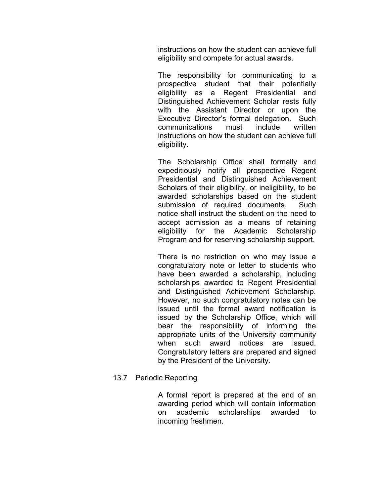instructions on how the student can achieve full eligibility and compete for actual awards.

The responsibility for communicating to a prospective student that their potentially eligibility as a Regent Presidential and Distinguished Achievement Scholar rests fully with the Assistant Director or upon the Executive Director's formal delegation. Such communications must include written instructions on how the student can achieve full eligibility.

The Scholarship Office shall formally and expeditiously notify all prospective Regent Presidential and Distinguished Achievement Scholars of their eligibility, or ineligibility, to be awarded scholarships based on the student submission of required documents. Such notice shall instruct the student on the need to accept admission as a means of retaining eligibility for the Academic Scholarship Program and for reserving scholarship support.

There is no restriction on who may issue a congratulatory note or letter to students who have been awarded a scholarship, including scholarships awarded to Regent Presidential and Distinguished Achievement Scholarship. However, no such congratulatory notes can be issued until the formal award notification is issued by the Scholarship Office, which will bear the responsibility of informing the appropriate units of the University community when such award notices are issued. Congratulatory letters are prepared and signed by the President of the University.

## 13.7 Periodic Reporting

A formal report is prepared at the end of an awarding period which will contain information on academic scholarships awarded to incoming freshmen.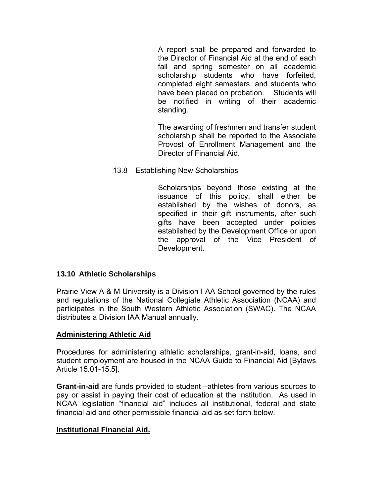A report shall be prepared and forwarded to the Director of Financial Aid at the end of each fall and spring semester on all academic scholarship students who have forfeited, completed eight semesters, and students who have been placed on probation. Students will be notified in writing of their academic standing.

The awarding of freshmen and transfer student scholarship shall be reported to the Associate Provost of Enrollment Management and the Director of Financial Aid.

13.8 Establishing New Scholarships

Scholarships beyond those existing at the issuance of this policy, shall either be established by the wishes of donors, as specified in their gift instruments, after such gifts have been accepted under policies established by the Development Office or upon the approval of the Vice President of Development.

## **13.10 Athletic Scholarships**

Prairie View A & M University is a Division I AA School governed by the rules and regulations of the National Collegiate Athletic Association (NCAA) and participates in the South Western Athletic Association (SWAC). The NCAA distributes a Division IAA Manual annually.

## **Administering Athletic Aid**

Procedures for administering athletic scholarships, grant-in-aid, loans, and student employment are housed in the NCAA Guide to Financial Aid [Bylaws Article 15.01-15.5].

**Grant-in-aid** are funds provided to student –athletes from various sources to pay or assist in paying their cost of education at the institution. As used in NCAA legislation "financial aid" includes all institutional, federal and state financial aid and other permissible financial aid as set forth below.

## **Institutional Financial Aid.**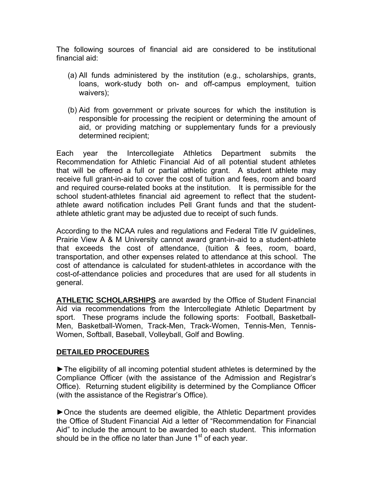The following sources of financial aid are considered to be institutional financial aid:

- (a) All funds administered by the institution (e.g., scholarships, grants, loans, work-study both on- and off-campus employment, tuition waivers);
- (b) Aid from government or private sources for which the institution is responsible for processing the recipient or determining the amount of aid, or providing matching or supplementary funds for a previously determined recipient;

Each year the Intercollegiate Athletics Department submits the Recommendation for Athletic Financial Aid of all potential student athletes that will be offered a full or partial athletic grant. A student athlete may receive full grant-in-aid to cover the cost of tuition and fees, room and board and required course-related books at the institution. It is permissible for the school student-athletes financial aid agreement to reflect that the studentathlete award notification includes Pell Grant funds and that the studentathlete athletic grant may be adjusted due to receipt of such funds.

According to the NCAA rules and regulations and Federal Title IV guidelines, Prairie View A & M University cannot award grant-in-aid to a student-athlete that exceeds the cost of attendance, (tuition & fees, room, board, transportation, and other expenses related to attendance at this school. The cost of attendance is calculated for student-athletes in accordance with the cost-of-attendance policies and procedures that are used for all students in general.

**ATHLETIC SCHOLARSHIPS** are awarded by the Office of Student Financial Aid via recommendations from the Intercollegiate Athletic Department by sport. These programs include the following sports: Football, Basketball-Men, Basketball-Women, Track-Men, Track-Women, Tennis-Men, Tennis-Women, Softball, Baseball, Volleyball, Golf and Bowling.

## **DETAILED PROCEDURES**

►The eligibility of all incoming potential student athletes is determined by the Compliance Officer (with the assistance of the Admission and Registrar's Office). Returning student eligibility is determined by the Compliance Officer (with the assistance of the Registrar's Office).

►Once the students are deemed eligible, the Athletic Department provides the Office of Student Financial Aid a letter of "Recommendation for Financial Aid" to include the amount to be awarded to each student. This information should be in the office no later than June  $1<sup>st</sup>$  of each year.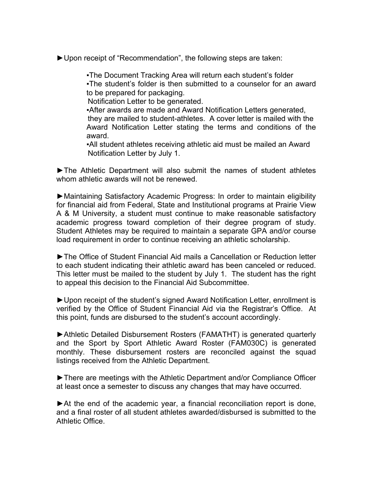►Upon receipt of "Recommendation", the following steps are taken:

. The Document Tracking Area will return each student's folder . The student's folder is then submitted to a counselor for an award to be prepared for packaging.

Notification Letter to be generated.

▪After awards are made and Award Notification Letters generated, they are mailed to student-athletes. A cover letter is mailed with the Award Notification Letter stating the terms and conditions of the award.

▪All student athletes receiving athletic aid must be mailed an Award Notification Letter by July 1.

►The Athletic Department will also submit the names of student athletes whom athletic awards will not be renewed.

►Maintaining Satisfactory Academic Progress: In order to maintain eligibility for financial aid from Federal, State and Institutional programs at Prairie View A & M University, a student must continue to make reasonable satisfactory academic progress toward completion of their degree program of study. Student Athletes may be required to maintain a separate GPA and/or course load requirement in order to continue receiving an athletic scholarship.

►The Office of Student Financial Aid mails a Cancellation or Reduction letter to each student indicating their athletic award has been canceled or reduced. This letter must be mailed to the student by July 1. The student has the right to appeal this decision to the Financial Aid Subcommittee.

►Upon receipt of the student's signed Award Notification Letter, enrollment is verified by the Office of Student Financial Aid via the Registrar's Office. At this point, funds are disbursed to the student's account accordingly.

►Athletic Detailed Disbursement Rosters (FAMATHT) is generated quarterly and the Sport by Sport Athletic Award Roster (FAM030C) is generated monthly. These disbursement rosters are reconciled against the squad listings received from the Athletic Department.

►There are meetings with the Athletic Department and/or Compliance Officer at least once a semester to discuss any changes that may have occurred.

►At the end of the academic year, a financial reconciliation report is done, and a final roster of all student athletes awarded/disbursed is submitted to the Athletic Office.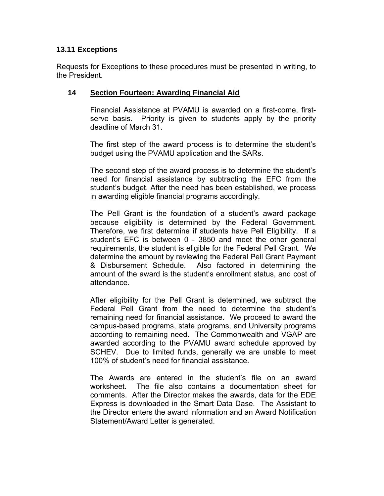## **13.11 Exceptions**

Requests for Exceptions to these procedures must be presented in writing, to the President.

# **14 Section Fourteen: Awarding Financial Aid**

Financial Assistance at PVAMU is awarded on a first-come, firstserve basis. Priority is given to students apply by the priority deadline of March 31.

The first step of the award process is to determine the student's budget using the PVAMU application and the SARs.

The second step of the award process is to determine the student's need for financial assistance by subtracting the EFC from the student's budget. After the need has been established, we process in awarding eligible financial programs accordingly.

The Pell Grant is the foundation of a student's award package because eligibility is determined by the Federal Government. Therefore, we first determine if students have Pell Eligibility. If a student's EFC is between 0 - 3850 and meet the other general requirements, the student is eligible for the Federal Pell Grant. We determine the amount by reviewing the Federal Pell Grant Payment & Disbursement Schedule. Also factored in determining the amount of the award is the student's enrollment status, and cost of attendance.

After eligibility for the Pell Grant is determined, we subtract the Federal Pell Grant from the need to determine the student's remaining need for financial assistance. We proceed to award the campus-based programs, state programs, and University programs according to remaining need. The Commonwealth and VGAP are awarded according to the PVAMU award schedule approved by SCHEV. Due to limited funds, generally we are unable to meet 100% of student's need for financial assistance.

The Awards are entered in the student's file on an award worksheet. The file also contains a documentation sheet for comments. After the Director makes the awards, data for the EDE Express is downloaded in the Smart Data Dase. The Assistant to the Director enters the award information and an Award Notification Statement/Award Letter is generated.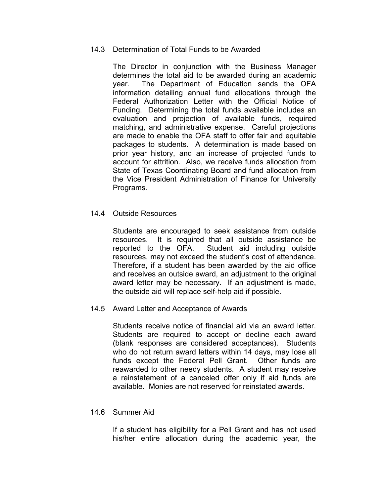### 14.3 Determination of Total Funds to be Awarded

The Director in conjunction with the Business Manager determines the total aid to be awarded during an academic year. The Department of Education sends the OFA information detailing annual fund allocations through the Federal Authorization Letter with the Official Notice of Funding. Determining the total funds available includes an evaluation and projection of available funds, required matching, and administrative expense. Careful projections are made to enable the OFA staff to offer fair and equitable packages to students. A determination is made based on prior year history, and an increase of projected funds to account for attrition. Also, we receive funds allocation from State of Texas Coordinating Board and fund allocation from the Vice President Administration of Finance for University Programs.

## 14.4 Outside Resources

Students are encouraged to seek assistance from outside resources. It is required that all outside assistance be reported to the OFA. Student aid including outside resources, may not exceed the student's cost of attendance. Therefore, if a student has been awarded by the aid office and receives an outside award, an adjustment to the original award letter may be necessary. If an adjustment is made, the outside aid will replace self-help aid if possible.

#### 14.5 Award Letter and Acceptance of Awards

Students receive notice of financial aid via an award letter. Students are required to accept or decline each award (blank responses are considered acceptances). Students who do not return award letters within 14 days, may lose all funds except the Federal Pell Grant. Other funds are reawarded to other needy students. A student may receive a reinstatement of a canceled offer only if aid funds are available. Monies are not reserved for reinstated awards.

#### 14.6 Summer Aid

If a student has eligibility for a Pell Grant and has not used his/her entire allocation during the academic year, the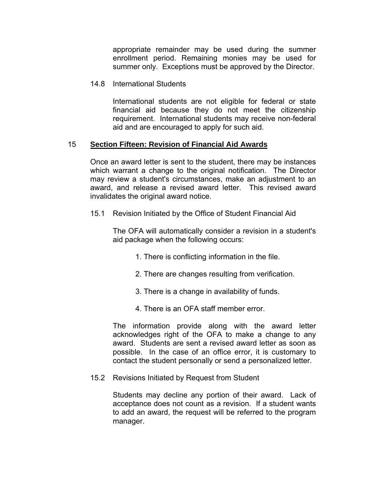appropriate remainder may be used during the summer enrollment period. Remaining monies may be used for summer only. Exceptions must be approved by the Director.

14.8 International Students

International students are not eligible for federal or state financial aid because they do not meet the citizenship requirement. International students may receive non-federal aid and are encouraged to apply for such aid.

## 15 **Section Fifteen: Revision of Financial Aid Awards**

Once an award letter is sent to the student, there may be instances which warrant a change to the original notification. The Director may review a student's circumstances, make an adjustment to an award, and release a revised award letter. This revised award invalidates the original award notice.

15.1 Revision Initiated by the Office of Student Financial Aid

The OFA will automatically consider a revision in a student's aid package when the following occurs:

- 1. There is conflicting information in the file.
- 2. There are changes resulting from verification.
- 3. There is a change in availability of funds.
- 4. There is an OFA staff member error.

The information provide along with the award letter acknowledges right of the OFA to make a change to any award. Students are sent a revised award letter as soon as possible. In the case of an office error, it is customary to contact the student personally or send a personalized letter.

15.2 Revisions Initiated by Request from Student

Students may decline any portion of their award. Lack of acceptance does not count as a revision. If a student wants to add an award, the request will be referred to the program manager.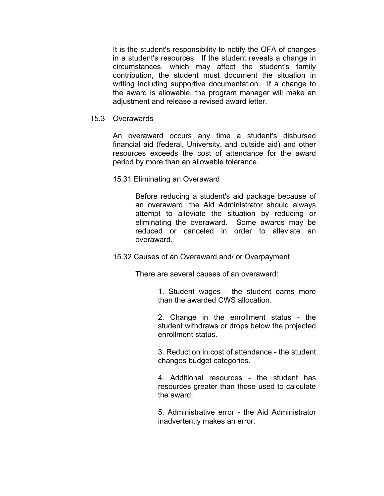It is the student's responsibility to notify the OFA of changes in a student's resources. If the student reveals a change in circumstances, which may affect the student's family contribution, the student must document the situation in writing including supportive documentation. If a change to the award is allowable, the program manager will make an adjustment and release a revised award letter.

15.3 Overawards

An overaward occurs any time a student's disbursed financial aid (federal, University, and outside aid) and other resources exceeds the cost of attendance for the award period by more than an allowable tolerance.

15.31 Eliminating an Overaward

Before reducing a student's aid package because of an overaward, the Aid Administrator should always attempt to alleviate the situation by reducing or eliminating the overaward. Some awards may be reduced or canceled in order to alleviate an overaward.

15.32 Causes of an Overaward and/ or Overpayment

There are several causes of an overaward:

1. Student wages - the student earns more than the awarded CWS allocation.

2. Change in the enrollment status - the student withdraws or drops below the projected enrollment status.

3. Reduction in cost of attendance - the student changes budget categories.

4. Additional resources - the student has resources greater than those used to calculate the award.

5. Administrative error - the Aid Administrator inadvertently makes an error.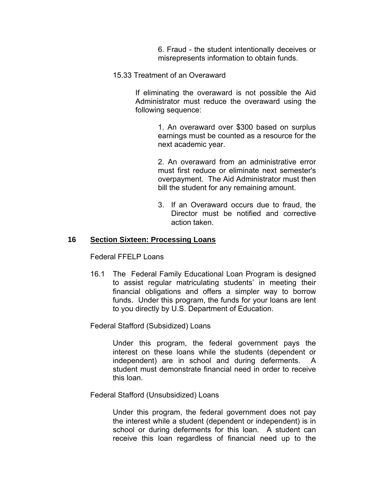6. Fraud - the student intentionally deceives or misrepresents information to obtain funds.

15.33 Treatment of an Overaward

If eliminating the overaward is not possible the Aid Administrator must reduce the overaward using the following sequence:

> 1. An overaward over \$300 based on surplus earnings must be counted as a resource for the next academic year.

> 2. An overaward from an administrative error must first reduce or eliminate next semester's overpayment. The Aid Administrator must then bill the student for any remaining amount.

> 3. If an Overaward occurs due to fraud, the Director must be notified and corrective action taken.

#### **16 Section Sixteen: Processing Loans**

Federal FFELP Loans

16.1 The Federal Family Educational Loan Program is designed to assist regular matriculating students' in meeting their financial obligations and offers a simpler way to borrow funds. Under this program, the funds for your loans are lent to you directly by U.S. Department of Education.

Federal Stafford (Subsidized) Loans

Under this program, the federal government pays the interest on these loans while the students (dependent or independent) are in school and during deferments. A student must demonstrate financial need in order to receive this loan.

Federal Stafford (Unsubsidized) Loans

Under this program, the federal government does not pay the interest while a student (dependent or independent) is in school or during deferments for this loan. A student can receive this loan regardless of financial need up to the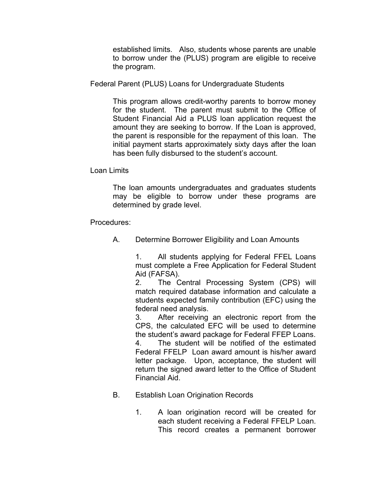established limits. Also, students whose parents are unable to borrow under the (PLUS) program are eligible to receive the program.

Federal Parent (PLUS) Loans for Undergraduate Students

This program allows credit-worthy parents to borrow money for the student. The parent must submit to the Office of Student Financial Aid a PLUS loan application request the amount they are seeking to borrow. If the Loan is approved, the parent is responsible for the repayment of this loan. The initial payment starts approximately sixty days after the loan has been fully disbursed to the student's account.

Loan Limits

The loan amounts undergraduates and graduates students may be eligible to borrow under these programs are determined by grade level.

Procedures:

A. Determine Borrower Eligibility and Loan Amounts

1. All students applying for Federal FFEL Loans must complete a Free Application for Federal Student Aid (FAFSA).

2. The Central Processing System (CPS) will match required database information and calculate a students expected family contribution (EFC) using the federal need analysis.

3. After receiving an electronic report from the CPS, the calculated EFC will be used to determine the student's award package for Federal FFEP Loans.

4. The student will be notified of the estimated Federal FFELP Loan award amount is his/her award letter package. Upon, acceptance, the student will return the signed award letter to the Office of Student Financial Aid.

- B. Establish Loan Origination Records
	- 1. A loan origination record will be created for each student receiving a Federal FFELP Loan. This record creates a permanent borrower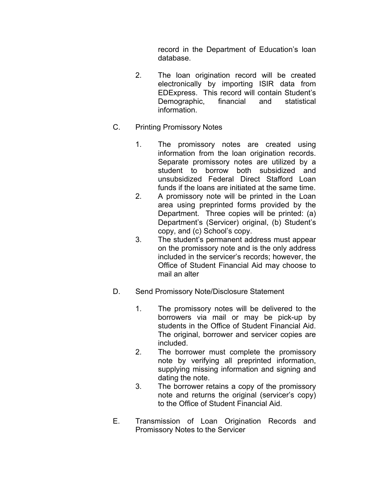record in the Department of Education's loan database.

- 2. The loan origination record will be created electronically by importing ISIR data from EDExpress. This record will contain Student's Demographic, financial and statistical information.
- C. Printing Promissory Notes
	- 1. The promissory notes are created using information from the loan origination records. Separate promissory notes are utilized by a student to borrow both subsidized and unsubsidized Federal Direct Stafford Loan funds if the loans are initiated at the same time.
	- 2. A promissory note will be printed in the Loan area using preprinted forms provided by the Department. Three copies will be printed: (a) Department's (Servicer) original, (b) Student's copy, and (c) School's copy.
	- 3. The student's permanent address must appear on the promissory note and is the only address included in the servicer's records; however, the Office of Student Financial Aid may choose to mail an alter
- D. Send Promissory Note/Disclosure Statement
	- 1. The promissory notes will be delivered to the borrowers via mail or may be pick-up by students in the Office of Student Financial Aid. The original, borrower and servicer copies are included.
	- 2. The borrower must complete the promissory note by verifying all preprinted information, supplying missing information and signing and dating the note.
	- 3. The borrower retains a copy of the promissory note and returns the original (servicer's copy) to the Office of Student Financial Aid.
- E. Transmission of Loan Origination Records and Promissory Notes to the Servicer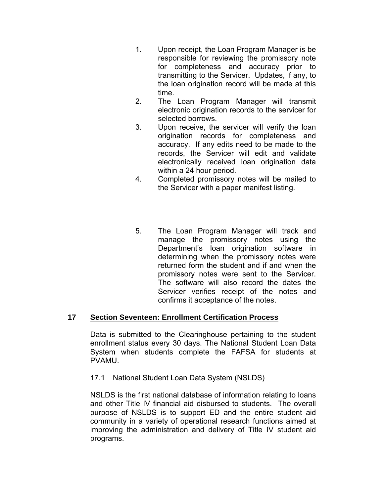- 1. Upon receipt, the Loan Program Manager is be responsible for reviewing the promissory note for completeness and accuracy prior to transmitting to the Servicer. Updates, if any, to the loan origination record will be made at this time.
- 2. The Loan Program Manager will transmit electronic origination records to the servicer for selected borrows.
- 3. Upon receive, the servicer will verify the loan origination records for completeness and accuracy. If any edits need to be made to the records, the Servicer will edit and validate electronically received loan origination data within a 24 hour period.
- 4. Completed promissory notes will be mailed to the Servicer with a paper manifest listing.
- 5. The Loan Program Manager will track and manage the promissory notes using the Department's loan origination software in determining when the promissory notes were returned form the student and if and when the promissory notes were sent to the Servicer. The software will also record the dates the Servicer verifies receipt of the notes and confirms it acceptance of the notes.

# **17 Section Seventeen: Enrollment Certification Process**

 Data is submitted to the Clearinghouse pertaining to the student enrollment status every 30 days. The National Student Loan Data System when students complete the FAFSA for students at PVAMU.

17.1 National Student Loan Data System (NSLDS)

 NSLDS is the first national database of information relating to loans and other Title IV financial aid disbursed to students. The overall purpose of NSLDS is to support ED and the entire student aid community in a variety of operational research functions aimed at improving the administration and delivery of Title IV student aid programs.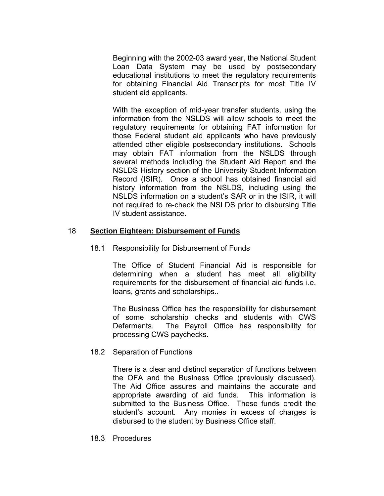Beginning with the 2002-03 award year, the National Student Loan Data System may be used by postsecondary educational institutions to meet the regulatory requirements for obtaining Financial Aid Transcripts for most Title IV student aid applicants.

 With the exception of mid-year transfer students, using the information from the NSLDS will allow schools to meet the regulatory requirements for obtaining FAT information for those Federal student aid applicants who have previously attended other eligible postsecondary institutions. Schools may obtain FAT information from the NSLDS through several methods including the Student Aid Report and the NSLDS History section of the University Student Information Record (ISIR). Once a school has obtained financial aid history information from the NSLDS, including using the NSLDS information on a student's SAR or in the ISIR, it will not required to re-check the NSLDS prior to disbursing Title IV student assistance.

## 18 **Section Eighteen: Disbursement of Funds**

#### 18.1 Responsibility for Disbursement of Funds

The Office of Student Financial Aid is responsible for determining when a student has meet all eligibility requirements for the disbursement of financial aid funds i.e. loans, grants and scholarships..

The Business Office has the responsibility for disbursement of some scholarship checks and students with CWS Deferments. The Payroll Office has responsibility for processing CWS paychecks.

#### 18.2 Separation of Functions

 There is a clear and distinct separation of functions between the OFA and the Business Office (previously discussed). The Aid Office assures and maintains the accurate and appropriate awarding of aid funds. This information is submitted to the Business Office. These funds credit the student's account. Any monies in excess of charges is disbursed to the student by Business Office staff.

18.3 Procedures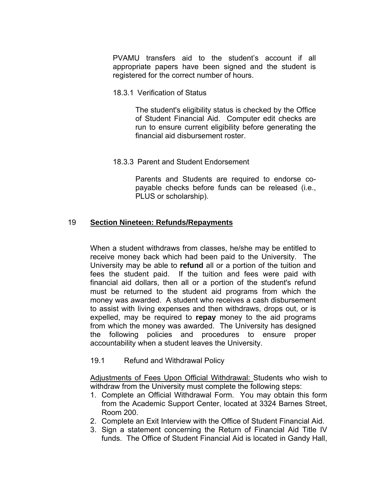PVAMU transfers aid to the student's account if all appropriate papers have been signed and the student is registered for the correct number of hours.

18.3.1 Verification of Status

The student's eligibility status is checked by the Office of Student Financial Aid. Computer edit checks are run to ensure current eligibility before generating the financial aid disbursement roster.

18.3.3 Parent and Student Endorsement

Parents and Students are required to endorse copayable checks before funds can be released (i.e., PLUS or scholarship).

## 19 **Section Nineteen: Refunds/Repayments**

When a student withdraws from classes, he/she may be entitled to receive money back which had been paid to the University. The University may be able to **refund** all or a portion of the tuition and fees the student paid. If the tuition and fees were paid with financial aid dollars, then all or a portion of the student's refund must be returned to the student aid programs from which the money was awarded. A student who receives a cash disbursement to assist with living expenses and then withdraws, drops out, or is expelled, may be required to **repay** money to the aid programs from which the money was awarded. The University has designed the following policies and procedures to ensure proper accountability when a student leaves the University.

19.1 Refund and Withdrawal Policy

Adjustments of Fees Upon Official Withdrawal: Students who wish to withdraw from the University must complete the following steps:

- 1. Complete an Official Withdrawal Form. You may obtain this form from the Academic Support Center, located at 3324 Barnes Street, Room 200.
- 2. Complete an Exit Interview with the Office of Student Financial Aid.
- 3. Sign a statement concerning the Return of Financial Aid Title IV funds. The Office of Student Financial Aid is located in Gandy Hall,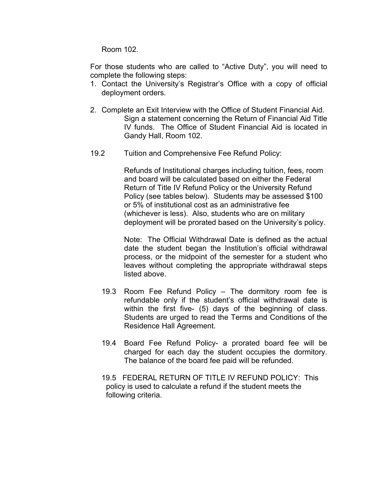Room 102.

For those students who are called to "Active Duty", you will need to complete the following steps:

- 1. Contact the University's Registrar's Office with a copy of official deployment orders.
- 2. Complete an Exit Interview with the Office of Student Financial Aid. Sign a statement concerning the Return of Financial Aid Title IV funds. The Office of Student Financial Aid is located in Gandy Hall, Room 102.
- 19.2 Tuition and Comprehensive Fee Refund Policy:

Refunds of Institutional charges including tuition, fees, room and board will be calculated based on either the Federal Return of Title IV Refund Policy or the University Refund Policy (see tables below). Students may be assessed \$100 or 5% of institutional cost as an administrative fee (whichever is less). Also, students who are on military deployment will be prorated based on the University's policy.

Note: The Official Withdrawal Date is defined as the actual date the student began the Institution's official withdrawal process, or the midpoint of the semester for a student who leaves without completing the appropriate withdrawal steps listed above.

- 19.3 Room Fee Refund Policy The dormitory room fee is refundable only if the student's official withdrawal date is within the first five- (5) days of the beginning of class. Students are urged to read the Terms and Conditions of the Residence Hall Agreement.
- 19.4 Board Fee Refund Policy- a prorated board fee will be charged for each day the student occupies the dormitory. The balance of the board fee paid will be refunded.
- 19.5 FEDERAL RETURN OF TITLE IV REFUND POLICY: This policy is used to calculate a refund if the student meets the following criteria.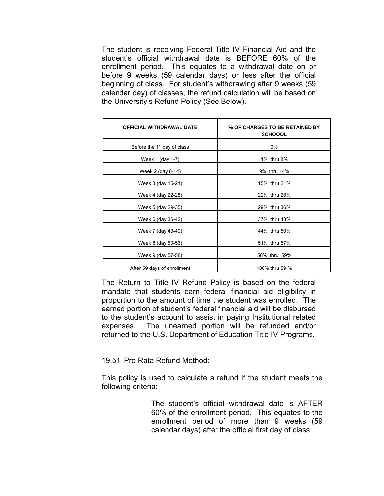The student is receiving Federal Title IV Financial Aid and the student's official withdrawal date is BEFORE 60% of the enrollment period. This equates to a withdrawal date on or before 9 weeks (59 calendar days) or less after the official beginning of class. For student's withdrawing after 9 weeks (59 calendar day) of classes, the refund calculation will be based on the University's Refund Policy (See Below).

| <b>OFFICIAL WITHDRAWAL DATE</b>         | % OF CHARGES TO BE RETAINED BY<br><b>SCHOOOL</b> |  |
|-----------------------------------------|--------------------------------------------------|--|
| Before the 1 <sup>st</sup> day of class | 0%                                               |  |
| Week 1 (day 1-7)                        | 1% thru 8%                                       |  |
| Week 2 (day 8-14)                       | 9% thru 14%                                      |  |
| Week 3 (day 15-21)                      | 15% thru 21%                                     |  |
| Week 4 (day 22-28)                      | 22% thru 28%                                     |  |
| Week 5 (day 29-35)                      | 29% thru 36%                                     |  |
| Week 6 (day 36-42)                      | 37% thru 43%                                     |  |
| Week 7 (day 43-49)                      | 44% thru 50%                                     |  |
| Week 8 (day 50-56)                      | 51% thru 57%                                     |  |
| Week 9 (day 57-58)                      | 58% thru 59%                                     |  |
| After 59 days of enrollment             | 100% thru 59 %                                   |  |

The Return to Title IV Refund Policy is based on the federal mandate that students earn federal financial aid eligibility in proportion to the amount of time the student was enrolled. The earned portion of student's federal financial aid will be disbursed to the student's account to assist in paying Institutional related expenses. The unearned portion will be refunded and/or returned to the U.S. Department of Education Title IV Programs.

19.51 Pro Rata Refund Method:

This policy is used to calculate a refund if the student meets the following criteria:

> The student's official withdrawal date is AFTER 60% of the enrollment period. This equates to the enrollment period of more than 9 weeks (59 calendar days) after the official first day of class.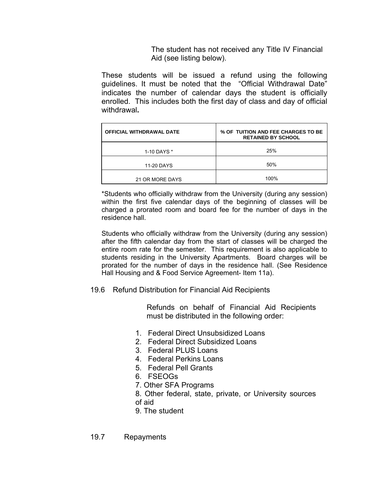The student has not received any Title IV Financial Aid (see listing below).

These students will be issued a refund using the following guidelines. It must be noted that the "Official Withdrawal Date" indicates the number of calendar days the student is officially enrolled. This includes both the first day of class and day of official withdrawal**.**

| <b>OFFICIAL WITHDRAWAL DATE</b> | % OF TUITION AND FEE CHARGES TO BE<br><b>RETAINED BY SCHOOL</b> |
|---------------------------------|-----------------------------------------------------------------|
| 1-10 DAYS *                     | 25%                                                             |
| 11-20 DAYS                      | 50%                                                             |
| 21 OR MORE DAYS                 | 100%                                                            |

\*Students who officially withdraw from the University (during any session) within the first five calendar days of the beginning of classes will be charged a prorated room and board fee for the number of days in the residence hall.

Students who officially withdraw from the University (during any session) after the fifth calendar day from the start of classes will be charged the entire room rate for the semester. This requirement is also applicable to students residing in the University Apartments. Board charges will be prorated for the number of days in the residence hall. (See Residence Hall Housing and & Food Service Agreement- Item 11a).

19.6 Refund Distribution for Financial Aid Recipients

Refunds on behalf of Financial Aid Recipients must be distributed in the following order:

- 1. Federal Direct Unsubsidized Loans
- 2. Federal Direct Subsidized Loans
- 3. Federal PLUS Loans
- 4. Federal Perkins Loans
- 5. Federal Pell Grants
- 6. FSEOGs
- 7. Other SFA Programs
- 8. Other federal, state, private, or University sources
- of aid
- 9. The student

19.7 Repayments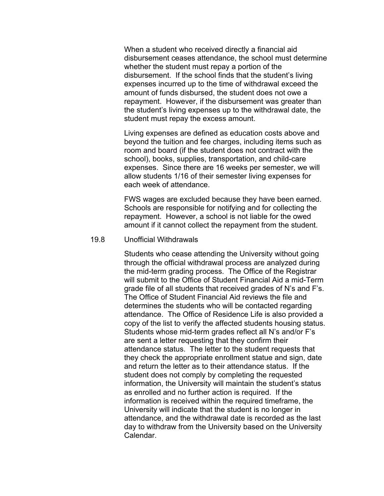When a student who received directly a financial aid disbursement ceases attendance, the school must determine whether the student must repay a portion of the disbursement. If the school finds that the student's living expenses incurred up to the time of withdrawal exceed the amount of funds disbursed, the student does not owe a repayment. However, if the disbursement was greater than the student's living expenses up to the withdrawal date, the student must repay the excess amount.

Living expenses are defined as education costs above and beyond the tuition and fee charges, including items such as room and board (if the student does not contract with the school), books, supplies, transportation, and child-care expenses. Since there are 16 weeks per semester, we will allow students 1/16 of their semester living expenses for each week of attendance.

FWS wages are excluded because they have been earned. Schools are responsible for notifying and for collecting the repayment. However, a school is not liable for the owed amount if it cannot collect the repayment from the student.

#### 19.8 Unofficial Withdrawals

Students who cease attending the University without going through the official withdrawal process are analyzed during the mid-term grading process. The Office of the Registrar will submit to the Office of Student Financial Aid a mid-Term grade file of all students that received grades of N's and F's. The Office of Student Financial Aid reviews the file and determines the students who will be contacted regarding attendance. The Office of Residence Life is also provided a copy of the list to verify the affected students housing status. Students whose mid-term grades reflect all N's and/or F's are sent a letter requesting that they confirm their attendance status. The letter to the student requests that they check the appropriate enrollment statue and sign, date and return the letter as to their attendance status. If the student does not comply by completing the requested information, the University will maintain the student's status as enrolled and no further action is required. If the information is received within the required timeframe, the University will indicate that the student is no longer in attendance, and the withdrawal date is recorded as the last day to withdraw from the University based on the University Calendar.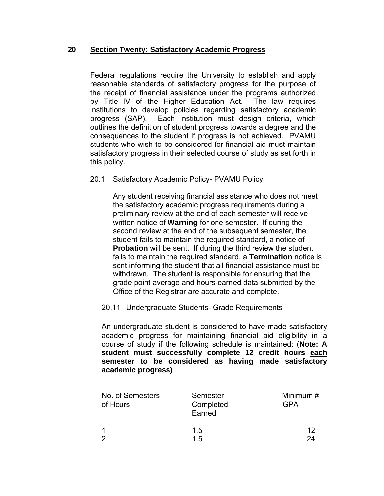## **20 Section Twenty: Satisfactory Academic Progress**

Federal regulations require the University to establish and apply reasonable standards of satisfactory progress for the purpose of the receipt of financial assistance under the programs authorized by Title IV of the Higher Education Act. The law requires institutions to develop policies regarding satisfactory academic progress (SAP). Each institution must design criteria, which outlines the definition of student progress towards a degree and the consequences to the student if progress is not achieved. PVAMU students who wish to be considered for financial aid must maintain satisfactory progress in their selected course of study as set forth in this policy.

## 20.1 Satisfactory Academic Policy- PVAMU Policy

Any student receiving financial assistance who does not meet the satisfactory academic progress requirements during a preliminary review at the end of each semester will receive written notice of **Warning** for one semester. If during the second review at the end of the subsequent semester, the student fails to maintain the required standard, a notice of **Probation** will be sent. If during the third review the student fails to maintain the required standard, a **Termination** notice is sent informing the student that all financial assistance must be withdrawn. The student is responsible for ensuring that the grade point average and hours-earned data submitted by the Office of the Registrar are accurate and complete.

## 20.11 Undergraduate Students- Grade Requirements

An undergraduate student is considered to have made satisfactory academic progress for maintaining financial aid eligibility in a course of study if the following schedule is maintained: (**Note: A student must successfully complete 12 credit hours each semester to be considered as having made satisfactory academic progress)** 

| No. of Semesters<br>of Hours | Semester<br>Completed<br>Earned | Minimum # |
|------------------------------|---------------------------------|-----------|
|                              | 1.5                             | 12        |
| റ                            | 15                              | 24        |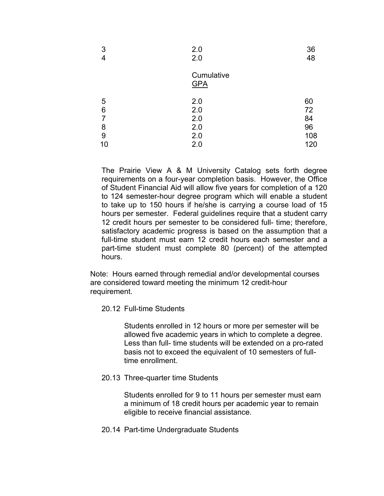| 3<br>4 | 2.0<br>2.0               | 36<br>48 |
|--------|--------------------------|----------|
|        | Cumulative<br><b>GPA</b> |          |
| 5      | 2.0                      | 60       |
| 6      | 2.0                      | 72       |
| 7      | 2.0                      | 84       |
| 8      | 2.0                      | 96       |
| 9      | 2.0                      | 108      |
| 10     | 2.0                      | 120      |

The Prairie View A & M University Catalog sets forth degree requirements on a four-year completion basis. However, the Office of Student Financial Aid will allow five years for completion of a 120 to 124 semester-hour degree program which will enable a student to take up to 150 hours if he/she is carrying a course load of 15 hours per semester. Federal guidelines require that a student carry 12 credit hours per semester to be considered full- time; therefore, satisfactory academic progress is based on the assumption that a full-time student must earn 12 credit hours each semester and a part-time student must complete 80 (percent) of the attempted hours.

Note: Hours earned through remedial and/or developmental courses are considered toward meeting the minimum 12 credit-hour requirement.

20.12 Full-time Students

Students enrolled in 12 hours or more per semester will be allowed five academic years in which to complete a degree. Less than full- time students will be extended on a pro-rated basis not to exceed the equivalent of 10 semesters of fulltime enrollment.

20.13 Three-quarter time Students

Students enrolled for 9 to 11 hours per semester must earn a minimum of 18 credit hours per academic year to remain eligible to receive financial assistance.

20.14 Part-time Undergraduate Students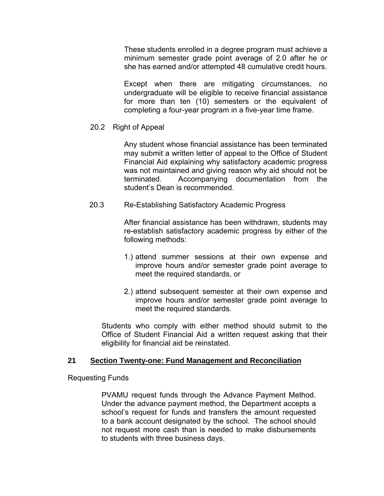These students enrolled in a degree program must achieve a minimum semester grade point average of 2.0 after he or she has earned and/or attempted 48 cumulative credit hours.

Except when there are mitigating circumstances, no undergraduate will be eligible to receive financial assistance for more than ten (10) semesters or the equivalent of completing a four-year program in a five-year time frame.

20.2 Right of Appeal

Any student whose financial assistance has been terminated may submit a written letter of appeal to the Office of Student Financial Aid explaining why satisfactory academic progress was not maintained and giving reason why aid should not be terminated. Accompanying documentation from the student's Dean is recommended.

20.3 Re-Establishing Satisfactory Academic Progress

After financial assistance has been withdrawn, students may re-establish satisfactory academic progress by either of the following methods:

- 1.) attend summer sessions at their own expense and improve hours and/or semester grade point average to meet the required standards, or
- 2.) attend subsequent semester at their own expense and improve hours and/or semester grade point average to meet the required standards.

Students who comply with either method should submit to the Office of Student Financial Aid a written request asking that their eligibility for financial aid be reinstated.

## **21 Section Twenty-one: Fund Management and Reconciliation**

Requesting Funds

 PVAMU request funds through the Advance Payment Method. Under the advance payment method, the Department accepts a school's request for funds and transfers the amount requested to a bank account designated by the school. The school should not request more cash than is needed to make disbursements to students with three business days.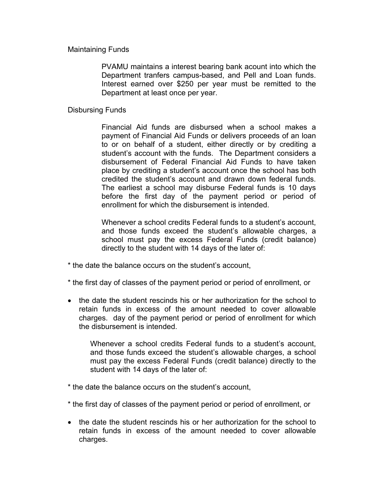#### Maintaining Funds

 PVAMU maintains a interest bearing bank acount into which the Department tranfers campus-based, and Pell and Loan funds. Interest earned over \$250 per year must be remitted to the Department at least once per year.

#### Disbursing Funds

 Financial Aid funds are disbursed when a school makes a payment of Financial Aid Funds or delivers proceeds of an loan to or on behalf of a student, either directly or by crediting a student's account with the funds. The Department considers a disbursement of Federal Financial Aid Funds to have taken place by crediting a student's account once the school has both credited the student's account and drawn down federal funds. The earliest a school may disburse Federal funds is 10 days before the first day of the payment period or period of enrollment for which the disbursement is intended.

 Whenever a school credits Federal funds to a student's account, and those funds exceed the student's allowable charges, a school must pay the excess Federal Funds (credit balance) directly to the student with 14 days of the later of:

- \* the date the balance occurs on the student's account,
- \* the first day of classes of the payment period or period of enrollment, or
- the date the student rescinds his or her authorization for the school to retain funds in excess of the amount needed to cover allowable charges. day of the payment period or period of enrollment for which the disbursement is intended.

 Whenever a school credits Federal funds to a student's account, and those funds exceed the student's allowable charges, a school must pay the excess Federal Funds (credit balance) directly to the student with 14 days of the later of:

- \* the date the balance occurs on the student's account,
- \* the first day of classes of the payment period or period of enrollment, or
- the date the student rescinds his or her authorization for the school to retain funds in excess of the amount needed to cover allowable charges.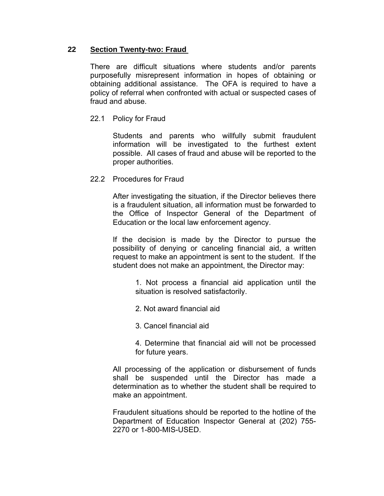# **22 Section Twenty-two: Fraud**

There are difficult situations where students and/or parents purposefully misrepresent information in hopes of obtaining or obtaining additional assistance. The OFA is required to have a policy of referral when confronted with actual or suspected cases of fraud and abuse.

# 22.1 Policy for Fraud

Students and parents who willfully submit fraudulent information will be investigated to the furthest extent possible. All cases of fraud and abuse will be reported to the proper authorities.

## 22.2 Procedures for Fraud

After investigating the situation, if the Director believes there is a fraudulent situation, all information must be forwarded to the Office of Inspector General of the Department of Education or the local law enforcement agency.

If the decision is made by the Director to pursue the possibility of denying or canceling financial aid, a written request to make an appointment is sent to the student. If the student does not make an appointment, the Director may:

> 1. Not process a financial aid application until the situation is resolved satisfactorily.

2. Not award financial aid

3. Cancel financial aid

4. Determine that financial aid will not be processed for future years.

All processing of the application or disbursement of funds shall be suspended until the Director has made a determination as to whether the student shall be required to make an appointment.

Fraudulent situations should be reported to the hotline of the Department of Education Inspector General at (202) 755- 2270 or 1-800-MIS-USED.